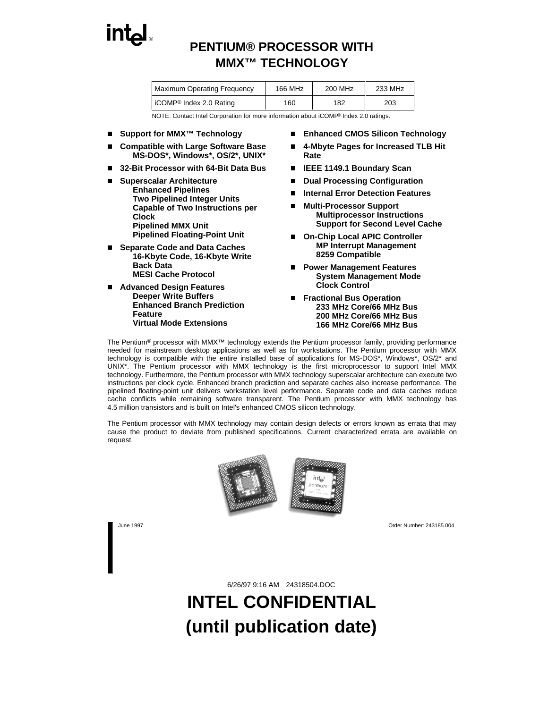

## **PENTIUM® PROCESSOR WITH MMX™ TECHNOLOGY**

| <b>Maximum Operating Frequency</b>    | 166 MHz | 200 MHz | 233 MHz |
|---------------------------------------|---------|---------|---------|
| l iCOMP <sup>®</sup> Index 2.0 Rating | 160     | 182     | 203     |

NOTE: Contact Intel Corporation for more information about iCOMP® Index 2.0 ratings.

- Support for MMX<sup>™</sup> Technology
- n **Compatible with Large Software Base MS-DOS\*, Windows\*, OS/2\*, UNIX\***
- n**32-Bit Processor with 64-Bit Data Bus**
- n **Superscalar Architecture**
	- **Enhanced Pipelines**
	- **Two Pipelined Integer Units Capable of Two Instructions per Clock**
	- **Pipelined MMX Unit**
	- **Pipelined Floating-Point Unit**
- n **Separate Code and Data Caches**
	- **16-Kbyte Code, 16-Kbyte Write Back Data**
	- **MESI Cache Protocol**
- n **Advanced Design Features**
	- **Deeper Write Buffers**
	- **Enhanced Branch Prediction Feature**
	- **Virtual Mode Extensions**
- **Enhanced CMOS Silicon Technology**
- n **4-Mbyte Pages for Increased TLB Hit Rate**
- n **IEEE 1149.1 Boundary Scan**
- n **Dual Processing Configuration**
- n **Internal Error Detection Features**
- n **Multi-Processor Support Multiprocessor Instructions**  $-$  Support for Second Level Cache
- On-Chip Local APIC Controller
	- **MP Interrupt Management**
	- **8259 Compatible**
- n **Power Management Features**
	- **System Management Mode**
	- **Clock Control**
- **Fractional Bus Operation** 
	- **233 MHz Core/66 MHz Bus**
	- **200 MHz Core/66 MHz Bus**
	- **166 MHz Core/66 MHz Bus**

The Pentium® processor with MMX™ technology extends the Pentium processor family, providing performance needed for mainstream desktop applications as well as for workstations. The Pentium processor with MMX technology is compatible with the entire installed base of applications for MS-DOS\*, Windows\*, OS/2\* and UNIX\*. The Pentium processor with MMX technology is the first microprocessor to support Intel MMX technology. Furthermore, the Pentium processor with MMX technology superscalar architecture can execute two instructions per clock cycle. Enhanced branch prediction and separate caches also increase performance. The pipelined floating-point unit delivers workstation level performance. Separate code and data caches reduce cache conflicts while remaining software transparent. The Pentium processor with MMX technology has 4.5 million transistors and is built on Intel's enhanced CMOS silicon technology.

The Pentium processor with MMX technology may contain design defects or errors known as errata that may cause the product to deviate from published specifications. Current characterized errata are available on request.

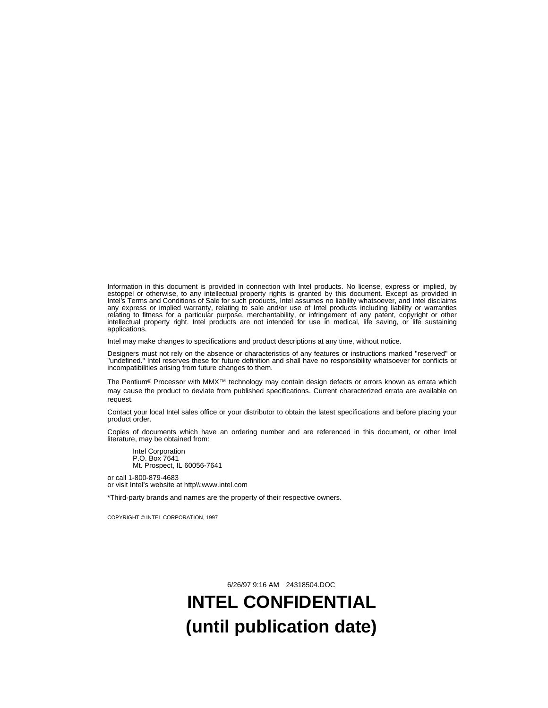Information in this document is provided in connection with Intel products. No license, express or implied, by estoppel or otherwise, to any intellectual property rights is granted by this document. Except as provided in Intel's Terms and Conditions of Sale for such products, Intel assumes no liability whatsoever, and Intel disclaims any express or implied warranty, relating to sale and/or use of Intel products including liability or warranties relating to fitness for a particular purpose, merchantability, or infringement of any patent, copyright or other intellectual property right. Intel products are not intended for use in medical, life saving, or life sustaining applications.

Intel may make changes to specifications and product descriptions at any time, without notice.

Designers must not rely on the absence or characteristics of any features or instructions marked "reserved" or<br>"undefined." Intel reserves these for future definition and shall have no responsibility whatsoever for conflic incompatibilities arising from future changes to them.

The Pentium® Processor with MMX™ technology may contain design defects or errors known as errata which may cause the product to deviate from published specifications. Current characterized errata are available on request.

Contact your local Intel sales office or your distributor to obtain the latest specifications and before placing your product order.

Copies of documents which have an ordering number and are referenced in this document, or other Intel literature, may be obtained from:

Intel Corporation P.O. Box 7641 Mt. Prospect, IL 60056-7641

or call 1-800-879-4683 or visit Intel's website at http\\:www.intel.com

\*Third-party brands and names are the property of their respective owners.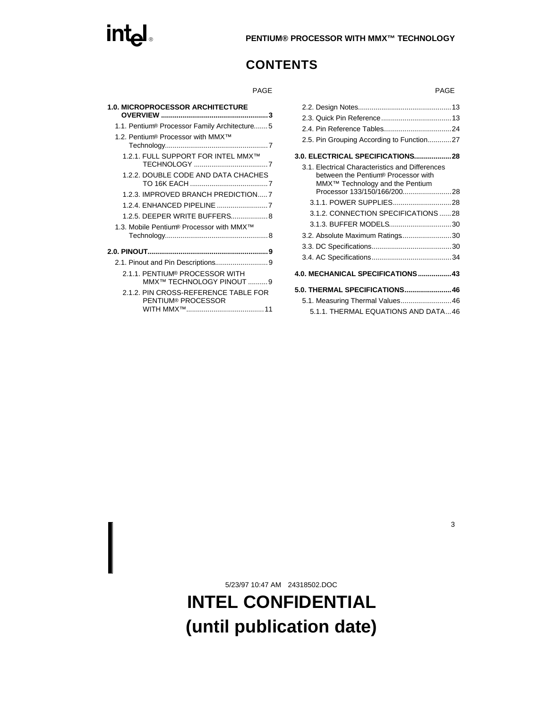# **ENTIUM® PROCESSOR WITH MMX™ TECHNOLOGY**

## **CONTENTS**

| <b>1.0. MICROPROCESSOR ARCHITECTURE</b>                    |
|------------------------------------------------------------|
| 1.1. Pentium <sup>®</sup> Processor Family Architecture5   |
| 1.2. Pentium <sup>®</sup> Processor with MMX <sup>™</sup>  |
| 1.2.1. FULL SUPPORT FOR INTEL MMX™                         |
| 1.2.2. DOUBLE CODE AND DATA CHACHES                        |
| 1.2.3. IMPROVED BRANCH PREDICTION7                         |
|                                                            |
| 1.2.5. DEEPER WRITE BUFFERS 8                              |
| 1.3. Mobile Pentium® Processor with MMX <sup>™</sup>       |
|                                                            |
|                                                            |
| 2.1.1. PENTIUM® PROCESSOR WITH<br>MMX™ TECHNOLOGY PINOUT 9 |
| 2.1.2. PIN CROSS-REFERENCE TABLE FOR<br>PENTIUM® PROCESSOR |
|                                                            |

| PAGE       | <b>PAGE</b>                                     |
|------------|-------------------------------------------------|
|            |                                                 |
| 3          |                                                 |
| , , 5      |                                                 |
| . 7        | 2.5. Pin Grouping According to Function27       |
| TM         |                                                 |
| . 7        | 3.1. Electrical Characteristics and Differences |
| <b>HES</b> | between the Pentium® Processor with             |
| . 7<br>N7  | MMX <sup>™</sup> Technology and the Pentium     |
| . 7        |                                                 |
| $\sim$ . 8 | 3.1.2. CONNECTION SPECIFICATIONS 28             |
|            |                                                 |
| . 8        | 3.2. Absolute Maximum Ratings30                 |
| 9          |                                                 |
| . 9        |                                                 |
|            | 4.0. MECHANICAL SPECIFICATIONS 43               |
| . 9        | 5.0. THERMAL SPECIFICATIONS 46                  |
| <b>FOR</b> | 5.1. Measuring Thermal Values 46                |
| 11         | 5.1.1. THERMAL EQUATIONS AND DATA46             |
|            |                                                 |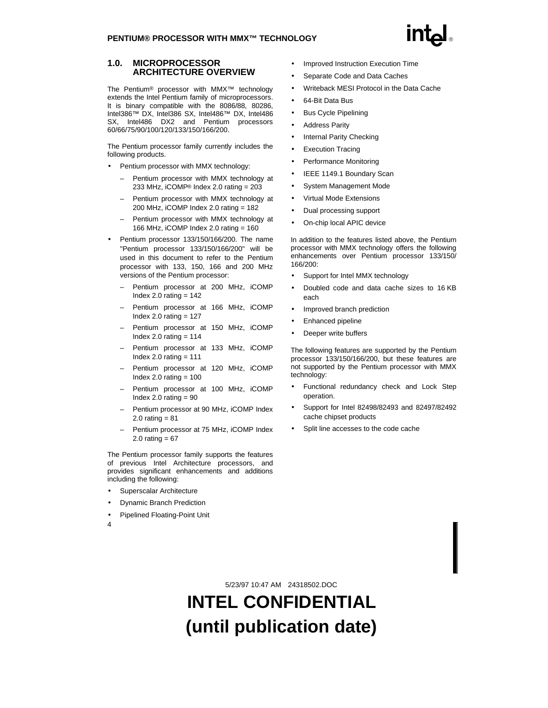### **1.0. MICROPROCESSOR ARCHITECTURE OVERVIEW**

The Pentium® processor with MMX™ technology extends the Intel Pentium family of microprocessors. It is binary compatible with the 8086/88, 80286, Intel386™ DX, Intel386 SX, Intel486™ DX, Intel486 SX, Intel486 DX2 and Pentium processors 60/66/75/90/100/120/133/150/166/200.

The Pentium processor family currently includes the following products.

- Pentium processor with MMX technology:
	- Pentium processor with MMX technology at 233 MHz, iCOMP® Index 2.0 rating = 203
	- Pentium processor with MMX technology at 200 MHz, iCOMP Index 2.0 rating = 182
	- Pentium processor with MMX technology at 166 MHz, iCOMP Index 2.0 rating = 160
- Pentium processor 133/150/166/200. The name "Pentium processor 133/150/166/200" will be used in this document to refer to the Pentium processor with 133, 150, 166 and 200 MHz versions of the Pentium processor:
	- Pentium processor at 200 MHz, iCOMP Index 2.0 rating  $= 142$
	- Pentium processor at 166 MHz, iCOMP Index  $2.0$  rating =  $127$
	- Pentium processor at 150 MHz, iCOMP Index 2.0 rating  $= 114$
	- Pentium processor at 133 MHz, iCOMP Index 2.0 rating  $= 111$
	- Pentium processor at 120 MHz, iCOMP Index  $2.0$  rating =  $100$
	- Pentium processor at 100 MHz, iCOMP Index 2.0 rating  $= 90$
	- Pentium processor at 90 MHz, iCOMP Index 2.0 rating  $= 81$
	- Pentium processor at 75 MHz, iCOMP Index 2.0 rating  $= 67$

The Pentium processor family supports the features of previous Intel Architecture processors, and provides significant enhancements and additions including the following:

- Superscalar Architecture
- Dynamic Branch Prediction
- Pipelined Floating-Point Unit
- Improved Instruction Execution Time
- Separate Code and Data Caches
- Writeback MESI Protocol in the Data Cache
- 64-Bit Data Bus
- Bus Cycle Pipelining
- Address Parity
- Internal Parity Checking
- Execution Tracing
- Performance Monitoring
- IEEE 1149.1 Boundary Scan
- System Management Mode
- Virtual Mode Extensions
- Dual processing support
- On-chip local APIC device

In addition to the features listed above, the Pentium processor with MMX technology offers the following enhancements over Pentium processor 133/150/ 166/200:

- Support for Intel MMX technology
- Doubled code and data cache sizes to 16 KB each
- Improved branch prediction
- Enhanced pipeline
- Deeper write buffers

The following features are supported by the Pentium processor 133/150/166/200, but these features are not supported by the Pentium processor with MMX technology:

- Functional redundancy check and Lock Step operation.
- Support for Intel 82498/82493 and 82497/82492 cache chipset products
- Split line accesses to the code cache

4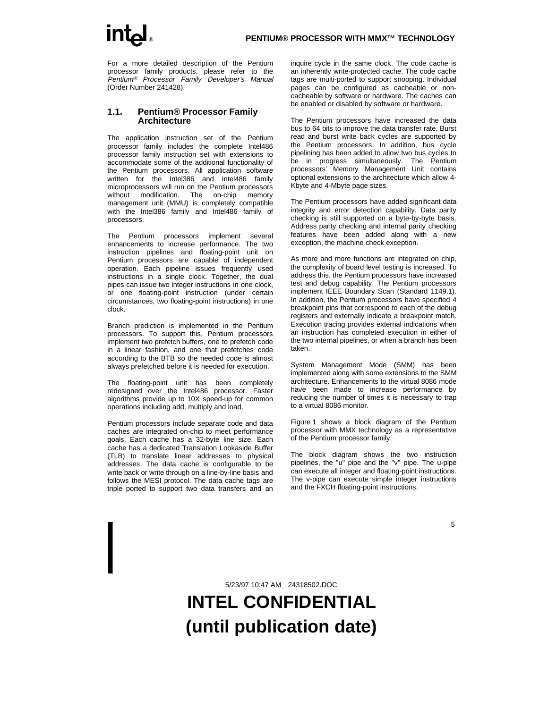For a more detailed description of the Pentium processor family products, please refer to the Pentium® Processor Family Developer's Manual (Order Number 241428).

#### **1.1. Pentium® Processor Family Architecture**

The application instruction set of the Pentium processor family includes the complete Intel486 processor family instruction set with extensions to accommodate some of the additional functionality of the Pentium processors. All application software written for the Intel386 and Intel486 family microprocessors will run on the Pentium processors without modification. The on-chip memory management unit (MMU) is completely compatible with the Intel386 family and Intel486 family of processors.

The Pentium processors implement several enhancements to increase performance. The two instruction pipelines and floating-point unit on Pentium processors are capable of independent operation. Each pipeline issues frequently used instructions in a single clock. Together, the dual pipes can issue two integer instructions in one clock, or one floating-point instruction (under certain circumstances, two floating-point instructions) in one clock.

Branch prediction is implemented in the Pentium processors. To support this, Pentium processors implement two prefetch buffers, one to prefetch code in a linear fashion, and one that prefetches code according to the BTB so the needed code is almost always prefetched before it is needed for execution.

The floating-point unit has been completely redesigned over the Intel486 processor. Faster algorithms provide up to 10X speed-up for common operations including add, multiply and load.

Pentium processors include separate code and data caches are integrated on-chip to meet performance goals. Each cache has a 32-byte line size. Each cache has a dedicated Translation Lookaside Buffer (TLB) to translate linear addresses to physical addresses. The data cache is configurable to be write back or write through on a line-by-line basis and follows the MESI protocol. The data cache tags are triple ported to support two data transfers and an inquire cycle in the same clock. The code cache is an inherently write-protected cache. The code cache tags are multi-ported to support snooping. Individual pages can be configured as cacheable or noncacheable by software or hardware. The caches can be enabled or disabled by software or hardware.

The Pentium processors have increased the data bus to 64 bits to improve the data transfer rate. Burst read and burst write back cycles are supported by the Pentium processors. In addition, bus cycle pipelining has been added to allow two bus cycles to be in progress simultaneously. The Pentium processors' Memory Management Unit contains optional extensions to the architecture which allow 4- Kbyte and 4-Mbyte page sizes.

The Pentium processors have added significant data integrity and error detection capability. Data parity checking is still supported on a byte-by-byte basis. Address parity checking and internal parity checking features have been added along with a new exception, the machine check exception.

As more and more functions are integrated on chip, the complexity of board level testing is increased. To address this, the Pentium processors have increased test and debug capability. The Pentium processors implement IEEE Boundary Scan (Standard 1149.1). In addition, the Pentium processors have specified 4 breakpoint pins that correspond to each of the debug registers and externally indicate a breakpoint match. Execution tracing provides external indications when an instruction has completed execution in either of the two internal pipelines, or when a branch has been taken.

System Management Mode (SMM) has been implemented along with some extensions to the SMM architecture. Enhancements to the virtual 8086 mode have been made to increase performance by reducing the number of times it is necessary to trap to a virtual 8086 monitor.

Figure 1 shows a block diagram of the Pentium processor with MMX technology as a representative of the Pentium processor family.

The block diagram shows the two instruction pipelines, the "u" pipe and the "v" pipe. The u-pipe can execute all integer and floating-point instructions. The v-pipe can execute simple integer instructions and the FXCH floating-point instructions.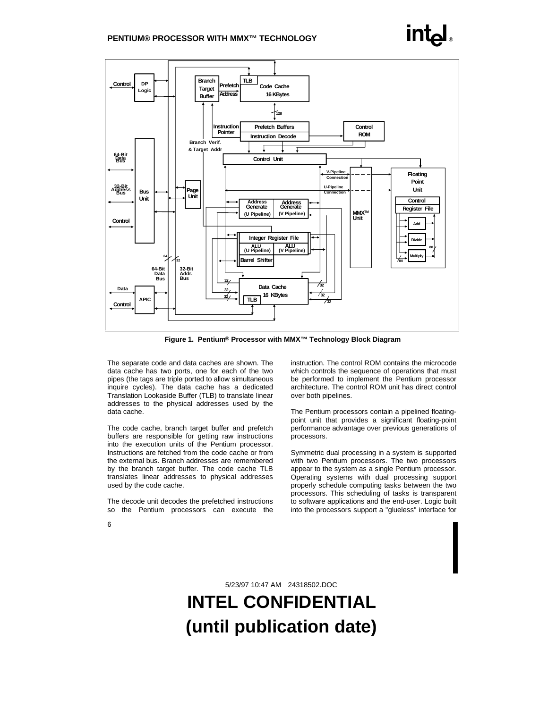

**Figure 1. Pentium® Processor with MMX™ Technology Block Diagram**

The separate code and data caches are shown. The data cache has two ports, one for each of the two pipes (the tags are triple ported to allow simultaneous inquire cycles). The data cache has a dedicated Translation Lookaside Buffer (TLB) to translate linear addresses to the physical addresses used by the data cache.

The code cache, branch target buffer and prefetch buffers are responsible for getting raw instructions into the execution units of the Pentium processor. Instructions are fetched from the code cache or from the external bus. Branch addresses are remembered by the branch target buffer. The code cache TLB translates linear addresses to physical addresses used by the code cache.

The decode unit decodes the prefetched instructions so the Pentium processors can execute the instruction. The control ROM contains the microcode which controls the sequence of operations that must be performed to implement the Pentium processor architecture. The control ROM unit has direct control over both pipelines.

The Pentium processors contain a pipelined floatingpoint unit that provides a significant floating-point performance advantage over previous generations of processors.

Symmetric dual processing in a system is supported with two Pentium processors. The two processors appear to the system as a single Pentium processor. Operating systems with dual processing support properly schedule computing tasks between the two processors. This scheduling of tasks is transparent to software applications and the end-user. Logic built into the processors support a "glueless" interface for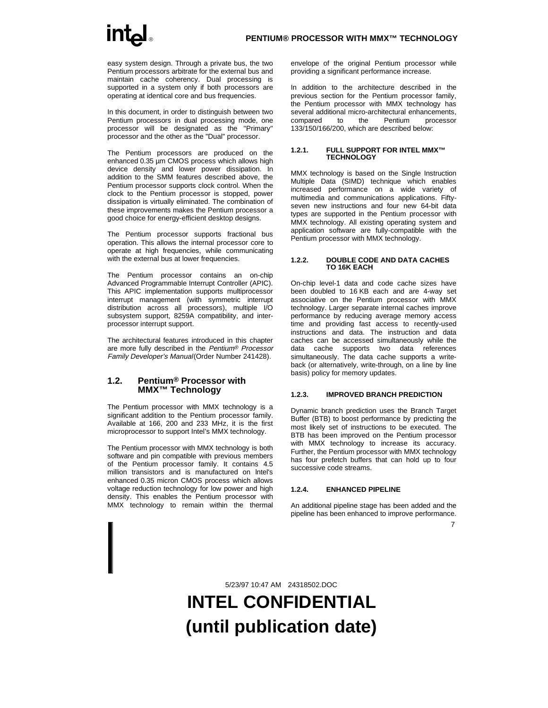easy system design. Through a private bus, the two Pentium processors arbitrate for the external bus and maintain cache coherency. Dual processing is supported in a system only if both processors are operating at identical core and bus frequencies.

In this document, in order to distinguish between two Pentium processors in dual processing mode, one processor will be designated as the "Primary" processor and the other as the "Dual" processor.

The Pentium processors are produced on the enhanced 0.35 um CMOS process which allows high device density and lower power dissipation. In addition to the SMM features described above, the Pentium processor supports clock control. When the clock to the Pentium processor is stopped, power dissipation is virtually eliminated. The combination of these improvements makes the Pentium processor a good choice for energy-efficient desktop designs.

The Pentium processor supports fractional bus operation. This allows the internal processor core to operate at high frequencies, while communicating with the external bus at lower frequencies.

The Pentium processor contains an on-chip Advanced Programmable Interrupt Controller (APIC). This APIC implementation supports multiprocessor interrupt management (with symmetric interrupt distribution across all processors), multiple I/O subsystem support, 8259A compatibility, and interprocessor interrupt support.

The architectural features introduced in this chapter are more fully described in the Pentium® Processor Family Developer's Manual (Order Number 241428).

### **1.2. Pentium® Processor with MMX™ Technology**

The Pentium processor with MMX technology is a significant addition to the Pentium processor family. Available at 166, 200 and 233 MHz, it is the first microprocessor to support Intel's MMX technology.

The Pentium processor with MMX technology is both software and pin compatible with previous members of the Pentium processor family. It contains 4.5 million transistors and is manufactured on lntel's enhanced 0.35 micron CMOS process which allows voltage reduction technology for low power and high density. This enables the Pentium processor with MMX technology to remain within the thermal envelope of the original Pentium processor while providing a significant performance increase.

In addition to the architecture described in the previous section for the Pentium processor family, the Pentium processor with MMX technology has several additional micro-architectural enhancements, compared to the Pentium processor 133/150/166/200, which are described below:

#### **1.2.1. FULL SUPPORT FOR INTEL MMX™ TECHNOLOGY**

MMX technology is based on the Single Instruction Multiple Data (SIMD) technique which enables increased performance on a wide variety of multimedia and communications applications. Fiftyseven new instructions and four new 64-bit data types are supported in the Pentium processor with MMX technology. All existing operating system and application software are fully-compatible with the Pentium processor with MMX technology.

#### **1.2.2. DOUBLE CODE AND DATA CACHES TO 16K EACH**

On-chip level-1 data and code cache sizes have been doubled to 16 KB each and are 4-way set associative on the Pentium processor with MMX technology. Larger separate internal caches improve performance by reducing average memory access time and providing fast access to recently-used instructions and data. The instruction and data caches can be accessed simultaneously while the data cache supports two data references simultaneously. The data cache supports a writeback (or alternatively, write-through, on a line by line basis) policy for memory updates.

#### **1.2.3. IMPROVED BRANCH PREDICTION**

Dynamic branch prediction uses the Branch Target Buffer (BTB) to boost performance by predicting the most likely set of instructions to be executed. The BTB has been improved on the Pentium processor with MMX technology to increase its accuracy. Further, the Pentium processor with MMX technology has four prefetch buffers that can hold up to four successive code streams.

#### **1.2.4. ENHANCED PIPELINE**

An additional pipeline stage has been added and the pipeline has been enhanced to improve performance.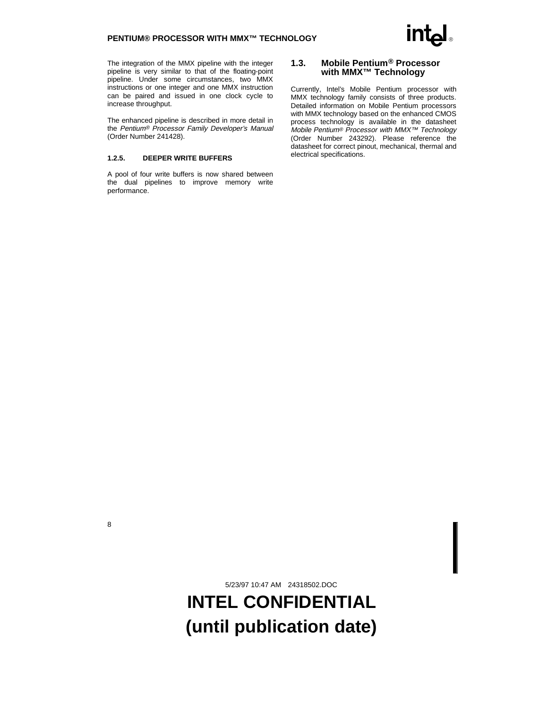The integration of the MMX pipeline with the integer pipeline is very similar to that of the floating-point pipeline. Under some circumstances, two MMX instructions or one integer and one MMX instruction can be paired and issued in one clock cycle to increase throughput.

The enhanced pipeline is described in more detail in the Pentium® Processor Family Developer's Manual (Order Number 241428).

#### **1.2.5. DEEPER WRITE BUFFERS**

A pool of four write buffers is now shared between the dual pipelines to improve memory write performance.

#### **1.3. Mobile Pentium® Processor with MMX™ Technology**

Currently, Intel's Mobile Pentium processor with MMX technology family consists of three products. Detailed information on Mobile Pentium processors with MMX technology based on the enhanced CMOS process technology is available in the datasheet Mobile Pentium® Processor with MMX™ Technology (Order Number 243292). Please reference the datasheet for correct pinout, mechanical, thermal and electrical specifications.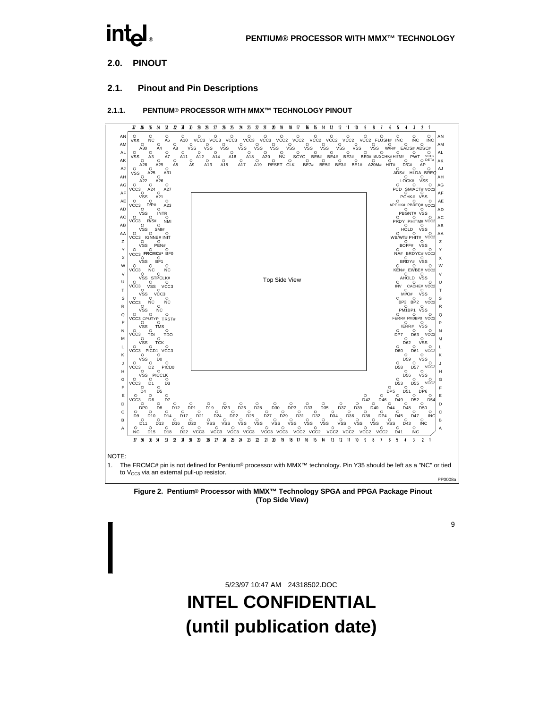## **2.0. PINOUT**

### **2.1. Pinout and Pin Descriptions**

#### **2.1.1. PENTIUM® PROCESSOR WITH MMX™ TECHNOLOGY PINOUT**



**Figure 2. Pentium® Processor with MMX™ Technology SPGA and PPGA Package Pinout (Top Side View)**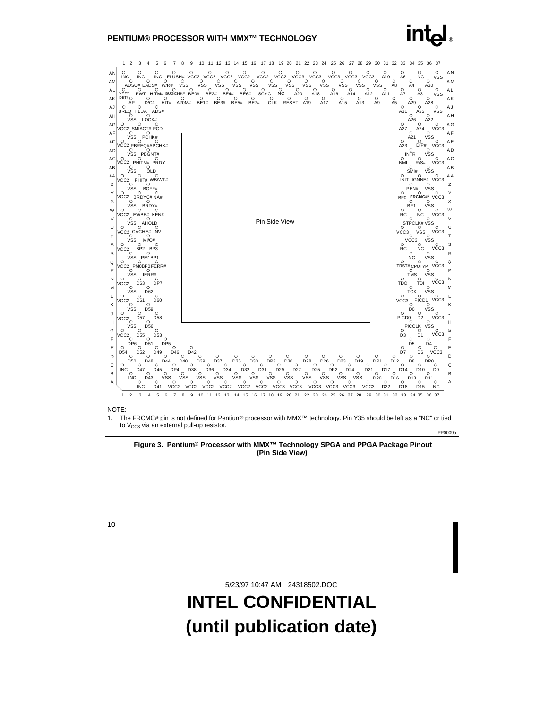

**Figure 3. Pentium® Processor with MMX™ Technology SPGA and PPGA Package Pinout (Pin Side View)**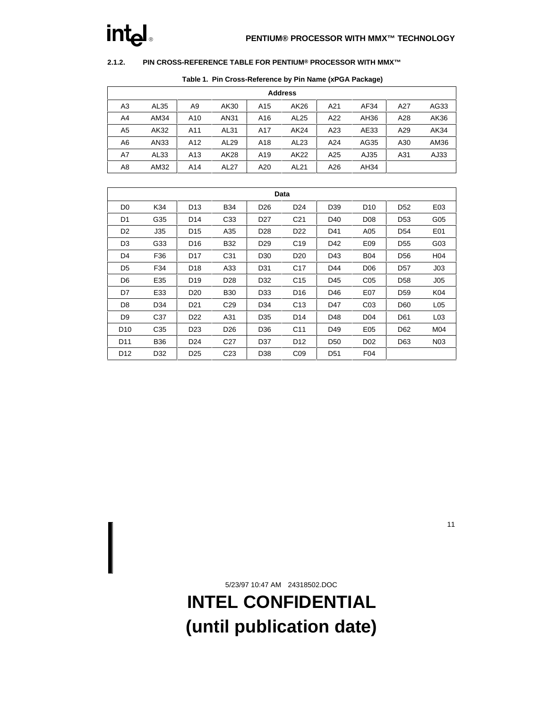#### **2.1.2. PIN CROSS-REFERENCE TABLE FOR PENTIUM® PROCESSOR WITH MMX™**

| <b>Address</b> |      |                 |                  |                 |                  |     |      |     |      |  |  |  |
|----------------|------|-----------------|------------------|-----------------|------------------|-----|------|-----|------|--|--|--|
| A <sub>3</sub> | AL35 | A <sub>9</sub>  | AK30             | A <sub>15</sub> | AK26             | A21 | AF34 | A27 | AG33 |  |  |  |
| A4             | AM34 | A10             | AN31             | A16             | AL <sub>25</sub> | A22 | AH36 | A28 | AK36 |  |  |  |
| A5             | AK32 | A11             | AL31             | A17             | AK24             | A23 | AE33 | A29 | AK34 |  |  |  |
| A6             | AN33 | A12             | AL <sub>29</sub> | A18             | AL <sub>23</sub> | A24 | AG35 | A30 | AM36 |  |  |  |
| A7             | AL33 | A <sub>13</sub> | AK28             | A19             | AK22             | A25 | AJ35 | A31 | AJ33 |  |  |  |
| A8             | AM32 | A14             | AL27             | A20             | AL21             | A26 | AH34 |     |      |  |  |  |

#### **Table 1. Pin Cross-Reference by Pin Name (xPGA Package)**

|                 | Data            |                 |                 |                 |                 |                 |                 |                 |                  |  |  |  |  |
|-----------------|-----------------|-----------------|-----------------|-----------------|-----------------|-----------------|-----------------|-----------------|------------------|--|--|--|--|
| D <sub>0</sub>  | K34             | D <sub>13</sub> | <b>B34</b>      | D <sub>26</sub> | D <sub>24</sub> | D <sub>39</sub> | D <sub>10</sub> | D <sub>52</sub> | E03              |  |  |  |  |
| D <sub>1</sub>  | G35             | D <sub>14</sub> | C <sub>33</sub> | D <sub>27</sub> | C <sub>21</sub> | D <sub>40</sub> | D <sub>08</sub> | D <sub>53</sub> | G05              |  |  |  |  |
| D <sub>2</sub>  | J35             | D <sub>15</sub> | A35             | D28             | D <sub>22</sub> | D41             | A05             | D <sub>54</sub> | E01              |  |  |  |  |
| D <sub>3</sub>  | G33             | D <sub>16</sub> | <b>B32</b>      | D <sub>29</sub> | C <sub>19</sub> | D42             | E09             | D <sub>55</sub> | G03              |  |  |  |  |
| D <sub>4</sub>  | F36             | D <sub>17</sub> | C31             | D <sub>30</sub> | D <sub>20</sub> | D43             | <b>B04</b>      | D <sub>56</sub> | H <sub>04</sub>  |  |  |  |  |
| D <sub>5</sub>  | F34             | D <sub>18</sub> | A33             | D31             | C <sub>17</sub> | D44             | D <sub>06</sub> | D <sub>57</sub> | J03              |  |  |  |  |
| D <sub>6</sub>  | E35             | D <sub>19</sub> | D <sub>28</sub> | D32             | C <sub>15</sub> | D45             | C <sub>05</sub> | D <sub>58</sub> | J <sub>05</sub>  |  |  |  |  |
| D7              | E33             | D <sub>20</sub> | <b>B30</b>      | D33             | D <sub>16</sub> | D46             | E07             | D <sub>59</sub> | K04              |  |  |  |  |
| D8              | D34             | D <sub>21</sub> | C <sub>29</sub> | D34             | C <sub>13</sub> | D47             | CO <sub>3</sub> | D60             | L <sub>05</sub>  |  |  |  |  |
| D <sub>9</sub>  | C <sub>37</sub> | D <sub>22</sub> | A31             | D35             | D <sub>14</sub> | D48             | D <sub>04</sub> | D61             | L <sub>03</sub>  |  |  |  |  |
| D <sub>10</sub> | C35             | D <sub>23</sub> | D <sub>26</sub> | D36             | C <sub>11</sub> | D49             | E05             | D62             | M04              |  |  |  |  |
| D <sub>11</sub> | <b>B36</b>      | D <sub>24</sub> | C <sub>27</sub> | D37             | D <sub>12</sub> | D <sub>50</sub> | D <sub>02</sub> | D63             | N <sub>0</sub> 3 |  |  |  |  |
| D <sub>12</sub> | D32             | D <sub>25</sub> | C <sub>23</sub> | D38             | CO9             | D <sub>51</sub> | F <sub>04</sub> |                 |                  |  |  |  |  |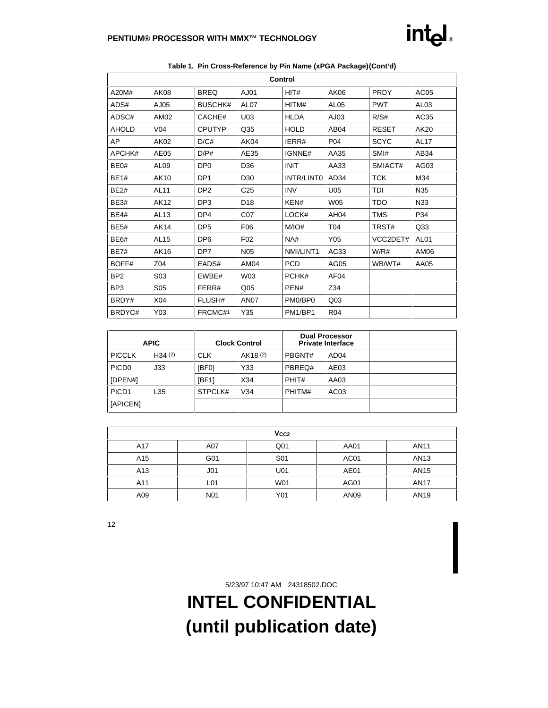| Control         |                  |                 |                  |             |                  |              |                  |  |  |  |  |  |
|-----------------|------------------|-----------------|------------------|-------------|------------------|--------------|------------------|--|--|--|--|--|
| A20M#           | <b>AK08</b>      | <b>BREQ</b>     | AJ01             | HIT#        | AK06             | <b>PRDY</b>  | AC <sub>05</sub> |  |  |  |  |  |
| ADS#            | AJ05             | <b>BUSCHK#</b>  | AL <sub>07</sub> | HITM#       | <b>AL05</b>      | <b>PWT</b>   | AL <sub>03</sub> |  |  |  |  |  |
| ADSC#           | AM02             | CACHE#          | U03              | <b>HLDA</b> | AJ03             | R/S#         | AC35             |  |  |  |  |  |
| <b>AHOLD</b>    | V <sub>04</sub>  | <b>CPUTYP</b>   | Q35              | <b>HOLD</b> | AB <sub>04</sub> | <b>RESET</b> | AK20             |  |  |  |  |  |
| AP              | AK02             | D/C#            | AK04             | IERR#       | P04              | <b>SCYC</b>  | <b>AL17</b>      |  |  |  |  |  |
| APCHK#          | AE05             | D/P#            | AE35             | IGNNE#      | AA35             | SMI#         | AB34             |  |  |  |  |  |
| BE0#            | AL <sub>09</sub> | DP <sub>0</sub> | D36              | <b>INIT</b> | AA33             | SMIACT#      | AG03             |  |  |  |  |  |
| <b>BE1#</b>     | AK10             | DP <sub>1</sub> | D <sub>30</sub>  | INTR/LINTO  | AD34             | <b>TCK</b>   | M34              |  |  |  |  |  |
| <b>BE2#</b>     | <b>AL11</b>      | DP <sub>2</sub> | C <sub>25</sub>  | <b>INV</b>  | U05              | TDI          | N35              |  |  |  |  |  |
| <b>BE3#</b>     | AK12             | DP <sub>3</sub> | D <sub>18</sub>  | KEN#        | <b>W05</b>       | <b>TDO</b>   | N33              |  |  |  |  |  |
| <b>BE4#</b>     | AL13             | DP4             | C07              | LOCK#       | AH <sub>04</sub> | <b>TMS</b>   | P34              |  |  |  |  |  |
| <b>BE5#</b>     | <b>AK14</b>      | DP <sub>5</sub> | F06              | M/IO#       | T04              | TRST#        | Q33              |  |  |  |  |  |
| <b>BE6#</b>     | AL15             | DP <sub>6</sub> | F <sub>02</sub>  | NA#         | Y05              | VCC2DET#     | AL <sub>01</sub> |  |  |  |  |  |
| <b>BE7#</b>     | AK16             | DP7             | <b>N05</b>       | NMI/LINT1   | AC33             | W/R#         | AM06             |  |  |  |  |  |
| BOFF#           | Z04              | EADS#           | AM04             | <b>PCD</b>  | AG05             | WB/WT#       | AA05             |  |  |  |  |  |
| BP <sub>2</sub> | S03              | EWBE#           | W03              | PCHK#       | AF <sub>04</sub> |              |                  |  |  |  |  |  |
| BP <sub>3</sub> | S <sub>05</sub>  | FERR#           | Q <sub>05</sub>  | PEN#        | Z34              |              |                  |  |  |  |  |  |
| BRDY#           | X04              | FLUSH#          | <b>AN07</b>      | PM0/BP0     | Q <sub>03</sub>  |              |                  |  |  |  |  |  |
| BRDYC#          | Y03              | FRCMC#1         | Y35              | PM1/BP1     | <b>R04</b>       |              |                  |  |  |  |  |  |

### **Table 1. Pin Cross-Reference by Pin Name (xPGA Package) (Cont'd)**

| <b>APIC</b>       |        | <b>Clock Control</b> |          | <b>Dual Processor</b><br><b>Private Interface</b> |                  |  |
|-------------------|--------|----------------------|----------|---------------------------------------------------|------------------|--|
| <b>PICCLK</b>     | H34(2) | <b>CLK</b>           | AK18 (2) | PBGNT#                                            | AD <sub>04</sub> |  |
| PICD <sub>0</sub> | J33    | [BF0]                | Y33      | PBREQ#                                            | AE03             |  |
| [DPEN#]           |        | [BF1]                | X34      | PHIT#                                             | AA03             |  |
| PICD <sub>1</sub> | L35    | STPCLK#              | V34      | PHITM#                                            | AC <sub>03</sub> |  |
| [APICEN]          |        |                      |          |                                                   |                  |  |

| V <sub>CC2</sub> |                 |                 |      |                  |  |  |  |  |  |  |
|------------------|-----------------|-----------------|------|------------------|--|--|--|--|--|--|
| A17              | A07             | Q <sub>01</sub> | AA01 | AN11             |  |  |  |  |  |  |
| A15              | G01             | S <sub>01</sub> | AC01 | AN <sub>13</sub> |  |  |  |  |  |  |
| A <sub>13</sub>  | J <sub>01</sub> | U01             | AE01 | AN <sub>15</sub> |  |  |  |  |  |  |
| A11              | L <sub>01</sub> | W01             | AG01 | <b>AN17</b>      |  |  |  |  |  |  |
| A09              | <b>N01</b>      | Y01             | AN09 | AN <sub>19</sub> |  |  |  |  |  |  |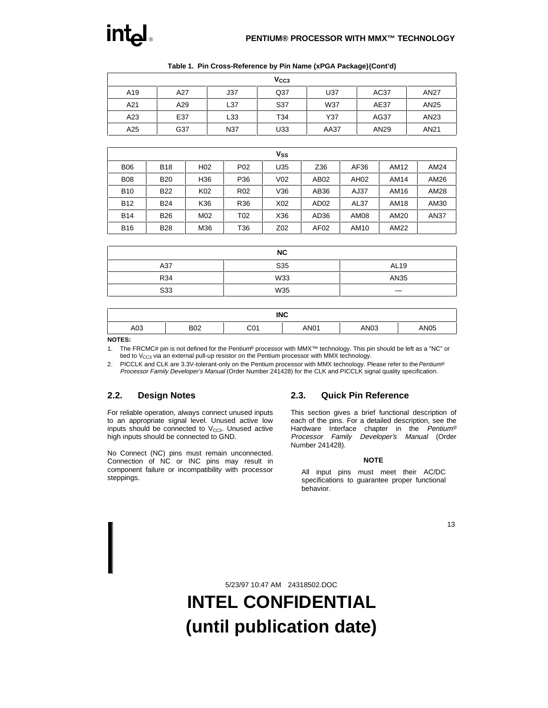

| V <sub>CC3</sub> |     |     |                 |      |      |                  |  |  |  |  |  |
|------------------|-----|-----|-----------------|------|------|------------------|--|--|--|--|--|
| A19              | A27 | J37 | Q <sub>37</sub> | U37  | AC37 | <b>AN27</b>      |  |  |  |  |  |
| A21              | A29 | L37 | S37             | W37  | AE37 | AN <sub>25</sub> |  |  |  |  |  |
| A23              | E37 | L33 | T34             | Y37  | AG37 | AN <sub>23</sub> |  |  |  |  |  |
| A25              | G37 | N37 | U33             | AA37 | AN29 | AN21             |  |  |  |  |  |

**Table 1. Pin Cross-Reference by Pin Name (xPGA Package) (Cont'd)**

|            |            |                 |                 | Vss             |                  |             |             |      |
|------------|------------|-----------------|-----------------|-----------------|------------------|-------------|-------------|------|
| <b>B06</b> | <b>B18</b> | H <sub>02</sub> | P <sub>02</sub> | U35             | Z36              | AF36        | AM12        | AM24 |
| <b>B08</b> | <b>B20</b> | H <sub>36</sub> | P36             | V <sub>02</sub> | AB02             | AH02        | AM14        | AM26 |
| <b>B10</b> | <b>B22</b> | K <sub>02</sub> | R <sub>02</sub> | V36             | AB36             | AJ37        | AM16        | AM28 |
| <b>B12</b> | <b>B24</b> | K36             | R36             | X02             | AD <sub>02</sub> | <b>AL37</b> | <b>AM18</b> | AM30 |
| <b>B14</b> | <b>B26</b> | M02             | T02             | X36             | AD <sub>36</sub> | <b>AM08</b> | AM20        | AN37 |
| <b>B16</b> | <b>B28</b> | M36             | T36             | Z02             | AF <sub>02</sub> | AM10        | AM22        |      |

|            | <b>NC</b> |             |
|------------|-----------|-------------|
| A37        | S35       | <b>AL19</b> |
| <b>R34</b> | W33       | AN35        |
| S33        | W35       |             |

| <b>INC</b> |            |                  |      |                  |             |  |  |  |  |
|------------|------------|------------------|------|------------------|-------------|--|--|--|--|
| A03        | <b>B02</b> | $\sim$ 04<br>◡∪⊤ | AN01 | AN <sub>03</sub> | <b>AN05</b> |  |  |  |  |

**NOTES:**

1. The FRCMC# pin is not defined for the Pentium® processor with MMX™ technology. This pin should be left as a "NC" or tied to  $V_{CC3}$  via an external pull-up resistor on the Pentium processor with MMX technology.

2. PICCLK and CLK are 3.3V-tolerant-only on the Pentium processor with MMX technology. Please refer to the Pentium® Processor Family Developer's Manual (Order Number 241428) for the CLK and PICCLK signal quality specification.

### **2.2. Design Notes**

For reliable operation, always connect unused inputs to an appropriate signal level. Unused active low inputs should be connected to  $V_{CC3}$ . Unused active high inputs should be connected to GND.

No Connect (NC) pins must remain unconnected. Connection of NC or INC pins may result in component failure or incompatibility with processor steppings.

### **2.3. Quick Pin Reference**

This section gives a brief functional description of each of the pins. For a detailed description, see the Hardware Interface chapter in the Pentium® Processor Family Developer's Manual (Order Number 241428).

#### **NOTE**

All input pins must meet their AC/DC specifications to guarantee proper functional behavior.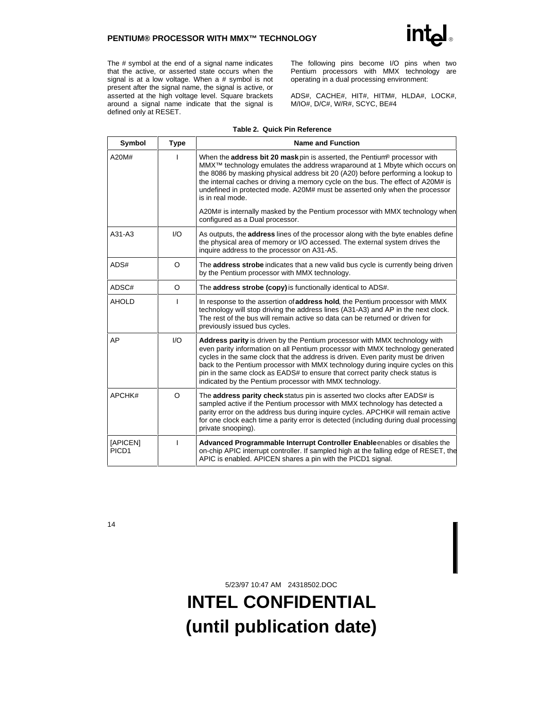The # symbol at the end of a signal name indicates that the active, or asserted state occurs when the signal is at a low voltage. When a # symbol is not present after the signal name, the signal is active, or asserted at the high voltage level. Square brackets around a signal name indicate that the signal is defined only at RESET.

The following pins become I/O pins when two Pentium processors with MMX technology are operating in a dual processing environment:

ADS#, CACHE#, HIT#, HITM#, HLDA#, LOCK#, M/IO#, D/C#, W/R#, SCYC, BE#4

| Symbol                        | <b>Type</b> | <b>Name and Function</b>                                                                                                                                                                                                                                                                                                                                                                                                                                                             |
|-------------------------------|-------------|--------------------------------------------------------------------------------------------------------------------------------------------------------------------------------------------------------------------------------------------------------------------------------------------------------------------------------------------------------------------------------------------------------------------------------------------------------------------------------------|
| A20M#                         |             | When the <b>address bit 20 mask</b> pin is asserted, the Pentium <sup>®</sup> processor with<br>MMX <sup>™</sup> technology emulates the address wraparound at 1 Mbyte which occurs on<br>the 8086 by masking physical address bit 20 (A20) before performing a lookup to<br>the internal caches or driving a memory cycle on the bus. The effect of A20M# is<br>undefined in protected mode. A20M# must be asserted only when the processor<br>is in real mode.                     |
|                               |             | A20M# is internally masked by the Pentium processor with MMX technology when<br>configured as a Dual processor.                                                                                                                                                                                                                                                                                                                                                                      |
| A31-A3                        | 1/O         | As outputs, the <b>address</b> lines of the processor along with the byte enables define<br>the physical area of memory or I/O accessed. The external system drives the<br>inquire address to the processor on A31-A5.                                                                                                                                                                                                                                                               |
| ADS#                          | $\circ$     | The <b>address strobe</b> indicates that a new valid bus cycle is currently being driven<br>by the Pentium processor with MMX technology.                                                                                                                                                                                                                                                                                                                                            |
| ADSC#                         | O           | The address strobe (copy) is functionally identical to ADS#.                                                                                                                                                                                                                                                                                                                                                                                                                         |
| <b>AHOLD</b>                  | T           | In response to the assertion of address hold, the Pentium processor with MMX<br>technology will stop driving the address lines (A31-A3) and AP in the next clock.<br>The rest of the bus will remain active so data can be returned or driven for<br>previously issued bus cycles.                                                                                                                                                                                                   |
| AP                            | 1/O         | <b>Address parity</b> is driven by the Pentium processor with MMX technology with<br>even parity information on all Pentium processor with MMX technology generated<br>cycles in the same clock that the address is driven. Even parity must be driven<br>back to the Pentium processor with MMX technology during inquire cycles on this<br>pin in the same clock as EADS# to ensure that correct parity check status is<br>indicated by the Pentium processor with MMX technology. |
| APCHK#                        | $\circ$     | The <b>address parity check</b> status pin is asserted two clocks after EADS# is<br>sampled active if the Pentium processor with MMX technology has detected a<br>parity error on the address bus during inquire cycles. APCHK# will remain active<br>for one clock each time a parity error is detected (including during dual processing<br>private snooping).                                                                                                                     |
| [APICEN]<br>PICD <sub>1</sub> | I           | Advanced Programmable Interrupt Controller Enableenables or disables the<br>on-chip APIC interrupt controller. If sampled high at the falling edge of RESET, the<br>APIC is enabled. APICEN shares a pin with the PICD1 signal.                                                                                                                                                                                                                                                      |

#### **Table 2. Quick Pin Reference**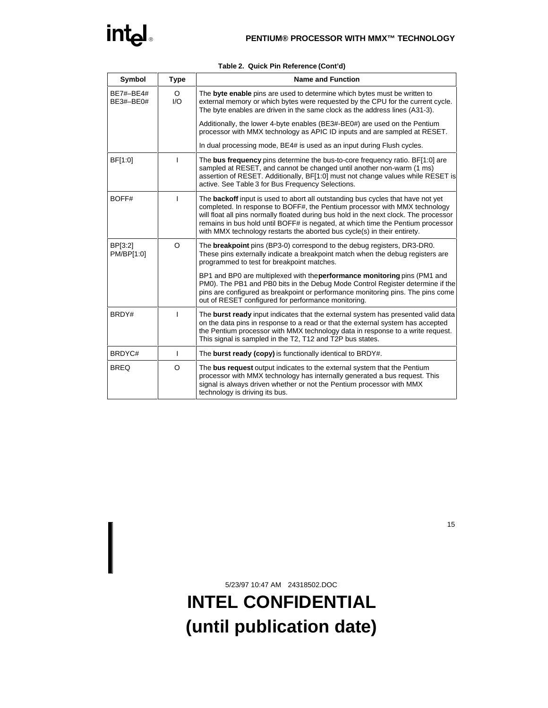| Symbol                 | Type           | <b>Name and Function</b>                                                                                                                                                                                                                                                                                                                                                                                                     |
|------------------------|----------------|------------------------------------------------------------------------------------------------------------------------------------------------------------------------------------------------------------------------------------------------------------------------------------------------------------------------------------------------------------------------------------------------------------------------------|
| BE7#-BE4#<br>BE3#-BE0# | $\circ$<br>1/O | The byte enable pins are used to determine which bytes must be written to<br>external memory or which bytes were requested by the CPU for the current cycle.<br>The byte enables are driven in the same clock as the address lines (A31-3).                                                                                                                                                                                  |
|                        |                | Additionally, the lower 4-byte enables (BE3#-BE0#) are used on the Pentium<br>processor with MMX technology as APIC ID inputs and are sampled at RESET.                                                                                                                                                                                                                                                                      |
|                        |                | In dual processing mode, BE4# is used as an input during Flush cycles.                                                                                                                                                                                                                                                                                                                                                       |
| BF[1:0]                |                | The bus frequency pins determine the bus-to-core frequency ratio. BF[1:0] are<br>sampled at RESET, and cannot be changed until another non-warm (1 ms)<br>assertion of RESET. Additionally, BF[1:0] must not change values while RESET is<br>active. See Table 3 for Bus Frequency Selections.                                                                                                                               |
| BOFF#                  |                | The <b>backoff</b> input is used to abort all outstanding bus cycles that have not yet<br>completed. In response to BOFF#, the Pentium processor with MMX technology<br>will float all pins normally floated during bus hold in the next clock. The processor<br>remains in bus hold until BOFF# is negated, at which time the Pentium processor<br>with MMX technology restarts the aborted bus cycle(s) in their entirety. |
| BP[3:2]<br>PM/BP[1:0]  | $\Omega$       | The <b>breakpoint</b> pins (BP3-0) correspond to the debug registers, DR3-DR0.<br>These pins externally indicate a breakpoint match when the debug registers are<br>programmed to test for breakpoint matches.                                                                                                                                                                                                               |
|                        |                | BP1 and BP0 are multiplexed with the <b>performance monitoring</b> pins (PM1 and<br>PM0). The PB1 and PB0 bits in the Debug Mode Control Register determine if the<br>pins are configured as breakpoint or performance monitoring pins. The pins come<br>out of RESET configured for performance monitoring.                                                                                                                 |
| BRDY#                  |                | The <b>burst ready</b> input indicates that the external system has presented valid data<br>on the data pins in response to a read or that the external system has accepted<br>the Pentium processor with MMX technology data in response to a write request.<br>This signal is sampled in the T2, T12 and T2P bus states.                                                                                                   |
| BRDYC#                 | L              | The burst ready (copy) is functionally identical to BRDY#.                                                                                                                                                                                                                                                                                                                                                                   |
| <b>BREQ</b>            | O              | The bus request output indicates to the external system that the Pentium<br>processor with MMX technology has internally generated a bus request. This<br>signal is always driven whether or not the Pentium processor with MMX<br>technology is driving its bus.                                                                                                                                                            |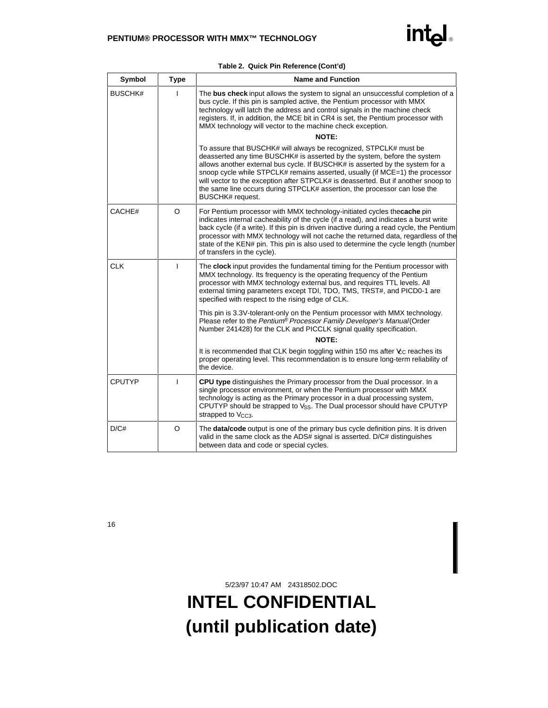| Symbol         | <b>Type</b> | <b>Name and Function</b>                                                                                                                                                                                                                                                                                                                                                                                                                                                                                |
|----------------|-------------|---------------------------------------------------------------------------------------------------------------------------------------------------------------------------------------------------------------------------------------------------------------------------------------------------------------------------------------------------------------------------------------------------------------------------------------------------------------------------------------------------------|
| <b>BUSCHK#</b> |             | The bus check input allows the system to signal an unsuccessful completion of a<br>bus cycle. If this pin is sampled active, the Pentium processor with MMX<br>technology will latch the address and control signals in the machine check<br>registers. If, in addition, the MCE bit in CR4 is set, the Pentium processor with<br>MMX technology will vector to the machine check exception.                                                                                                            |
|                |             | <b>NOTE:</b>                                                                                                                                                                                                                                                                                                                                                                                                                                                                                            |
|                |             | To assure that BUSCHK# will always be recognized, STPCLK# must be<br>deasserted any time BUSCHK# is asserted by the system, before the system<br>allows another external bus cycle. If BUSCHK# is asserted by the system for a<br>snoop cycle while STPCLK# remains asserted, usually (if $MCE=1$ ) the processor<br>will vector to the exception after STPCLK# is deasserted. But if another snoop to<br>the same line occurs during STPCLK# assertion, the processor can lose the<br>BUSCHK# request. |
| CACHE#         | O           | For Pentium processor with MMX technology-initiated cycles thecache pin<br>indicates internal cacheability of the cycle (if a read), and indicates a burst write<br>back cycle (if a write). If this pin is driven inactive during a read cycle, the Pentium<br>processor with MMX technology will not cache the returned data, regardless of the<br>state of the KEN# pin. This pin is also used to determine the cycle length (number<br>of transfers in the cycle).                                  |
| <b>CLK</b>     | L           | The <b>clock</b> input provides the fundamental timing for the Pentium processor with<br>MMX technology. Its frequency is the operating frequency of the Pentium<br>processor with MMX technology external bus, and requires TTL levels. All<br>external timing parameters except TDI, TDO, TMS, TRST#, and PICD0-1 are<br>specified with respect to the rising edge of CLK.                                                                                                                            |
|                |             | This pin is 3.3V-tolerant-only on the Pentium processor with MMX technology.<br>Please refer to the Pentium® Processor Family Developer's Manual(Order<br>Number 241428) for the CLK and PICCLK signal quality specification.                                                                                                                                                                                                                                                                           |
|                |             | NOTE:                                                                                                                                                                                                                                                                                                                                                                                                                                                                                                   |
|                |             | It is recommended that CLK begin toggling within 150 ms after $\&c$ reaches its<br>proper operating level. This recommendation is to ensure long-term reliability of<br>the device.                                                                                                                                                                                                                                                                                                                     |
| <b>CPUTYP</b>  | т           | CPU type distinguishes the Primary processor from the Dual processor. In a<br>single processor environment, or when the Pentium processor with MMX<br>technology is acting as the Primary processor in a dual processing system,<br>CPUTYP should be strapped to V <sub>SS</sub> . The Dual processor should have CPUTYP<br>strapped to V <sub>CC3</sub> .                                                                                                                                              |
| D/C#           | O           | The <b>data/code</b> output is one of the primary bus cycle definition pins. It is driven<br>valid in the same clock as the ADS# signal is asserted. D/C# distinguishes<br>between data and code or special cycles.                                                                                                                                                                                                                                                                                     |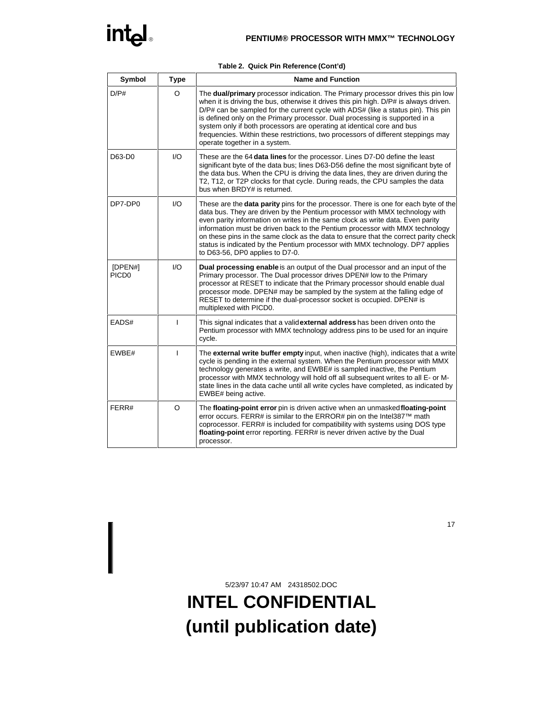|  | Table 2. Quick Pin Reference (Cont'd) |  |
|--|---------------------------------------|--|
|  |                                       |  |

| Symbol                       | <b>Type</b>            | <b>Name and Function</b>                                                                                                                                                                                                                                                                                                                                                                                                                                                                                                                               |
|------------------------------|------------------------|--------------------------------------------------------------------------------------------------------------------------------------------------------------------------------------------------------------------------------------------------------------------------------------------------------------------------------------------------------------------------------------------------------------------------------------------------------------------------------------------------------------------------------------------------------|
| D/P#                         | O                      | The dual/primary processor indication. The Primary processor drives this pin low<br>when it is driving the bus, otherwise it drives this pin high. D/P# is always driven.<br>D/P# can be sampled for the current cycle with ADS# (like a status pin). This pin<br>is defined only on the Primary processor. Dual processing is supported in a<br>system only if both processors are operating at identical core and bus<br>frequencies. Within these restrictions, two processors of different steppings may<br>operate together in a system.          |
| D63-D0                       | $\mathsf{U}\mathsf{O}$ | These are the 64 data lines for the processor. Lines D7-D0 define the least<br>significant byte of the data bus; lines D63-D56 define the most significant byte of<br>the data bus. When the CPU is driving the data lines, they are driven during the<br>T2, T12, or T2P clocks for that cycle. During reads, the CPU samples the data<br>bus when BRDY# is returned.                                                                                                                                                                                 |
| DP7-DP0                      | $\mathsf{IO}$          | These are the <b>data parity</b> pins for the processor. There is one for each byte of the<br>data bus. They are driven by the Pentium processor with MMX technology with<br>even parity information on writes in the same clock as write data. Even parity<br>information must be driven back to the Pentium processor with MMX technology<br>on these pins in the same clock as the data to ensure that the correct parity check<br>status is indicated by the Pentium processor with MMX technology. DP7 applies<br>to D63-56, DP0 applies to D7-0. |
| [DPEN#]<br>PICD <sub>0</sub> | 1/O                    | <b>Dual processing enable</b> is an output of the Dual processor and an input of the<br>Primary processor. The Dual processor drives DPEN# low to the Primary<br>processor at RESET to indicate that the Primary processor should enable dual<br>processor mode. DPEN# may be sampled by the system at the falling edge of<br>RESET to determine if the dual-processor socket is occupied. DPEN# is<br>multiplexed with PICD0.                                                                                                                         |
| EADS#                        | $\mathbf{I}$           | This signal indicates that a valid external address has been driven onto the<br>Pentium processor with MMX technology address pins to be used for an inquire<br>cycle.                                                                                                                                                                                                                                                                                                                                                                                 |
| EWBE#                        | T                      | The external write buffer empty input, when inactive (high), indicates that a write<br>cycle is pending in the external system. When the Pentium processor with MMX<br>technology generates a write, and EWBE# is sampled inactive, the Pentium<br>processor with MMX technology will hold off all subsequent writes to all E- or M-<br>state lines in the data cache until all write cycles have completed, as indicated by<br>EWBE# being active.                                                                                                    |
| FERR#                        | $\circ$                | The floating-point error pin is driven active when an unmasked floating-point<br>error occurs. FERR# is similar to the ERROR# pin on the Intel387™ math<br>coprocessor. FERR# is included for compatibility with systems using DOS type<br>floating-point error reporting. FERR# is never driven active by the Dual<br>processor.                                                                                                                                                                                                                      |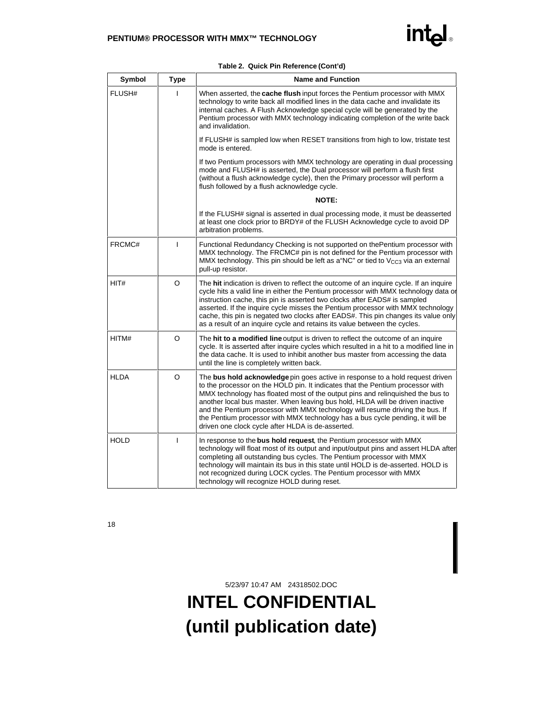| Symbol      | <b>Type</b>  | <b>Name and Function</b>                                                                                                                                                                                                                                                                                                                                                                                                                                                                                                                                  |
|-------------|--------------|-----------------------------------------------------------------------------------------------------------------------------------------------------------------------------------------------------------------------------------------------------------------------------------------------------------------------------------------------------------------------------------------------------------------------------------------------------------------------------------------------------------------------------------------------------------|
| FLUSH#      |              | When asserted, the <b>cache flush</b> input forces the Pentium processor with MMX<br>technology to write back all modified lines in the data cache and invalidate its<br>internal caches. A Flush Acknowledge special cycle will be generated by the<br>Pentium processor with MMX technology indicating completion of the write back<br>and invalidation.                                                                                                                                                                                                |
|             |              | If FLUSH# is sampled low when RESET transitions from high to low, tristate test<br>mode is entered.                                                                                                                                                                                                                                                                                                                                                                                                                                                       |
|             |              | If two Pentium processors with MMX technology are operating in dual processing<br>mode and FLUSH# is asserted, the Dual processor will perform a flush first<br>(without a flush acknowledge cycle), then the Primary processor will perform a<br>flush followed by a flush acknowledge cycle.                                                                                                                                                                                                                                                            |
|             |              | <b>NOTE:</b>                                                                                                                                                                                                                                                                                                                                                                                                                                                                                                                                              |
|             |              | If the FLUSH# signal is asserted in dual processing mode, it must be deasserted<br>at least one clock prior to BRDY# of the FLUSH Acknowledge cycle to avoid DP<br>arbitration problems.                                                                                                                                                                                                                                                                                                                                                                  |
| FRCMC#      | T            | Functional Redundancy Checking is not supported on thePentium processor with<br>MMX technology. The FRCMC# pin is not defined for the Pentium processor with<br>MMX technology. This pin should be left as a "NC" or tied to V <sub>CC3</sub> via an external<br>pull-up resistor.                                                                                                                                                                                                                                                                        |
| HIT#        | $\circ$      | The hit indication is driven to reflect the outcome of an inquire cycle. If an inquire<br>cycle hits a valid line in either the Pentium processor with MMX technology data or<br>instruction cache, this pin is asserted two clocks after EADS# is sampled<br>asserted. If the inquire cycle misses the Pentium processor with MMX technology<br>cache, this pin is negated two clocks after EADS#. This pin changes its value only<br>as a result of an inquire cycle and retains its value between the cycles.                                          |
| HITM#       | O            | The hit to a modified line output is driven to reflect the outcome of an inquire<br>cycle. It is asserted after inquire cycles which resulted in a hit to a modified line in<br>the data cache. It is used to inhibit another bus master from accessing the data<br>until the line is completely written back.                                                                                                                                                                                                                                            |
| <b>HLDA</b> | O            | The bus hold acknowledge pin goes active in response to a hold request driven<br>to the processor on the HOLD pin. It indicates that the Pentium processor with<br>MMX technology has floated most of the output pins and relinguished the bus to<br>another local bus master. When leaving bus hold, HLDA will be driven inactive<br>and the Pentium processor with MMX technology will resume driving the bus. If<br>the Pentium processor with MMX technology has a bus cycle pending, it will be<br>driven one clock cycle after HLDA is de-asserted. |
| <b>HOLD</b> | $\mathbf{I}$ | In response to the bus hold request, the Pentium processor with MMX<br>technology will float most of its output and input/output pins and assert HLDA after<br>completing all outstanding bus cycles. The Pentium processor with MMX<br>technology will maintain its bus in this state until HOLD is de-asserted. HOLD is<br>not recognized during LOCK cycles. The Pentium processor with MMX<br>technology will recognize HOLD during reset.                                                                                                            |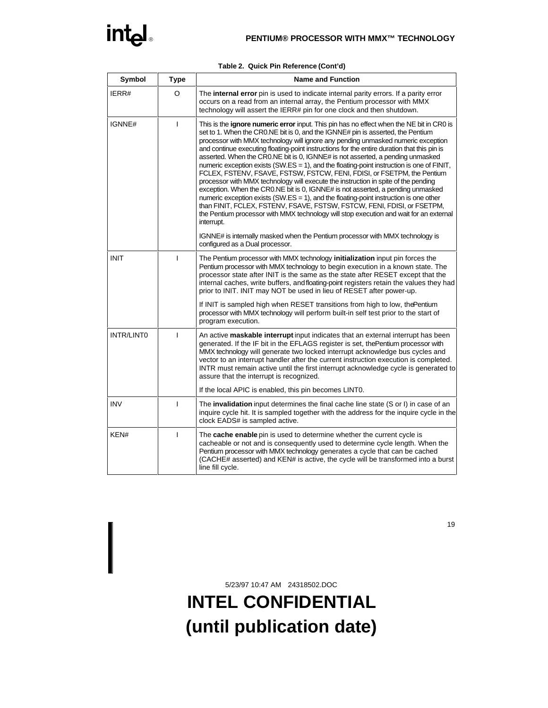| Symbol      | <b>Type</b> | <b>Name and Function</b>                                                                                                                                                                                                                                                                                                                                                                                                                                                                                                                                                                                                                                                                                                                                                                                                                                                                                                                                                                                                                                                                   |
|-------------|-------------|--------------------------------------------------------------------------------------------------------------------------------------------------------------------------------------------------------------------------------------------------------------------------------------------------------------------------------------------------------------------------------------------------------------------------------------------------------------------------------------------------------------------------------------------------------------------------------------------------------------------------------------------------------------------------------------------------------------------------------------------------------------------------------------------------------------------------------------------------------------------------------------------------------------------------------------------------------------------------------------------------------------------------------------------------------------------------------------------|
| IERR#       | O           | The internal error pin is used to indicate internal parity errors. If a parity error<br>occurs on a read from an internal array, the Pentium processor with MMX<br>technology will assert the IERR# pin for one clock and then shutdown.                                                                                                                                                                                                                                                                                                                                                                                                                                                                                                                                                                                                                                                                                                                                                                                                                                                   |
| IGNNE#      | L           | This is the <b>ignore numeric error</b> input. This pin has no effect when the NE bit in CR0 is<br>set to 1. When the CRO.NE bit is 0, and the IGNNE# pin is asserted, the Pentium<br>processor with MMX technology will ignore any pending unmasked numeric exception<br>and continue executing floating-point instructions for the entire duration that this pin is<br>asserted. When the CR0.NE bit is 0, IGNNE# is not asserted, a pending unmasked<br>numeric exception exists (SW.ES = 1), and the floating-point instruction is one of $FINIT$ ,<br>FCLEX, FSTENV, FSAVE, FSTSW, FSTCW, FENI, FDISI, or FSETPM, the Pentium<br>processor with MMX technology will execute the instruction in spite of the pending<br>exception. When the CR0.NE bit is 0, IGNNE# is not asserted, a pending unmasked<br>numeric exception exists $(SW.ES = 1)$ , and the floating-point instruction is one other<br>than FINIT, FCLEX, FSTENV, FSAVE, FSTSW, FSTCW, FENI, FDISI, or FSETPM,<br>the Pentium processor with MMX technology will stop execution and wait for an external<br>interrupt. |
|             |             | IGNNE# is internally masked when the Pentium processor with MMX technology is<br>configured as a Dual processor.                                                                                                                                                                                                                                                                                                                                                                                                                                                                                                                                                                                                                                                                                                                                                                                                                                                                                                                                                                           |
| <b>INIT</b> | I           | The Pentium processor with MMX technology initialization input pin forces the<br>Pentium processor with MMX technology to begin execution in a known state. The<br>processor state after INIT is the same as the state after RESET except that the<br>internal caches, write buffers, and floating-point registers retain the values they had<br>prior to INIT. INIT may NOT be used in lieu of RESET after power-up.                                                                                                                                                                                                                                                                                                                                                                                                                                                                                                                                                                                                                                                                      |
|             |             | If INIT is sampled high when RESET transitions from high to low, the Pentium<br>processor with MMX technology will perform built-in self test prior to the start of<br>program execution.                                                                                                                                                                                                                                                                                                                                                                                                                                                                                                                                                                                                                                                                                                                                                                                                                                                                                                  |
| INTR/LINT0  | ı           | An active maskable interrupt input indicates that an external interrupt has been<br>generated. If the IF bit in the EFLAGS register is set, the Pentium processor with<br>MMX technology will generate two locked interrupt acknowledge bus cycles and<br>vector to an interrupt handler after the current instruction execution is completed.<br>INTR must remain active until the first interrupt acknowledge cycle is generated to<br>assure that the interrupt is recognized.                                                                                                                                                                                                                                                                                                                                                                                                                                                                                                                                                                                                          |
|             |             | If the local APIC is enabled, this pin becomes LINTO.                                                                                                                                                                                                                                                                                                                                                                                                                                                                                                                                                                                                                                                                                                                                                                                                                                                                                                                                                                                                                                      |
| <b>INV</b>  | I           | The <b>invalidation</b> input determines the final cache line state (S or I) in case of an<br>inquire cycle hit. It is sampled together with the address for the inquire cycle in the<br>clock EADS# is sampled active.                                                                                                                                                                                                                                                                                                                                                                                                                                                                                                                                                                                                                                                                                                                                                                                                                                                                    |
| KEN#        | I           | The cache enable pin is used to determine whether the current cycle is<br>cacheable or not and is consequently used to determine cycle length. When the<br>Pentium processor with MMX technology generates a cycle that can be cached<br>(CACHE# asserted) and KEN# is active, the cycle will be transformed into a burst<br>line fill cycle.                                                                                                                                                                                                                                                                                                                                                                                                                                                                                                                                                                                                                                                                                                                                              |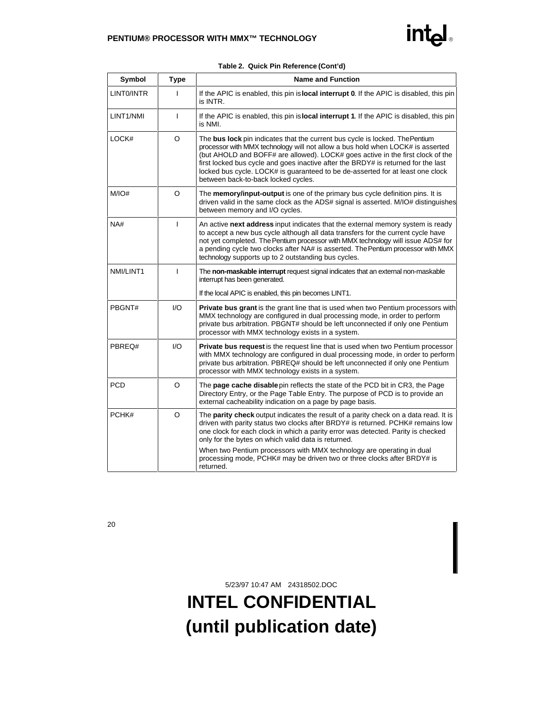| Symbol     | <b>Type</b>  | <b>Name and Function</b>                                                                                                                                                                                                                                                                                                                                                                                                                                       |
|------------|--------------|----------------------------------------------------------------------------------------------------------------------------------------------------------------------------------------------------------------------------------------------------------------------------------------------------------------------------------------------------------------------------------------------------------------------------------------------------------------|
| LINTO/INTR | T            | If the APIC is enabled, this pin is <b>local interrupt 0</b> . If the APIC is disabled, this pin<br>is INTR.                                                                                                                                                                                                                                                                                                                                                   |
| LINT1/NMI  | T            | If the APIC is enabled, this pin is <b>local interrupt 1</b> . If the APIC is disabled, this pin<br>is NMI.                                                                                                                                                                                                                                                                                                                                                    |
| LOCK#      | O            | The bus lock pin indicates that the current bus cycle is locked. The Pentium<br>processor with MMX technology will not allow a bus hold when LOCK# is asserted<br>(but AHOLD and BOFF# are allowed). LOCK# goes active in the first clock of the<br>first locked bus cycle and goes inactive after the BRDY# is returned for the last<br>locked bus cycle. LOCK# is guaranteed to be de-asserted for at least one clock<br>between back-to-back locked cycles. |
| M/IO#      | $\circ$      | The memory/input-output is one of the primary bus cycle definition pins. It is<br>driven valid in the same clock as the ADS# signal is asserted. M/IO# distinguishes<br>between memory and I/O cycles.                                                                                                                                                                                                                                                         |
| NA#        | $\mathbf{I}$ | An active next address input indicates that the external memory system is ready<br>to accept a new bus cycle although all data transfers for the current cycle have<br>not yet completed. The Pentium processor with MMX technology will issue ADS# for<br>a pending cycle two clocks after NA# is asserted. The Pentium processor with MMX<br>technology supports up to 2 outstanding bus cycles.                                                             |
| NMI/LINT1  | T            | The non-maskable interrupt request signal indicates that an external non-maskable<br>interrupt has been generated.                                                                                                                                                                                                                                                                                                                                             |
|            |              | If the local APIC is enabled, this pin becomes LINT1.                                                                                                                                                                                                                                                                                                                                                                                                          |
| PBGNT#     | I/O          | <b>Private bus grant</b> is the grant line that is used when two Pentium processors with<br>MMX technology are configured in dual processing mode, in order to perform<br>private bus arbitration. PBGNT# should be left unconnected if only one Pentium<br>processor with MMX technology exists in a system.                                                                                                                                                  |
| PBREQ#     | 1/O          | <b>Private bus request</b> is the request line that is used when two Pentium processor<br>with MMX technology are configured in dual processing mode, in order to perform<br>private bus arbitration. PBREQ# should be left unconnected if only one Pentium<br>processor with MMX technology exists in a system.                                                                                                                                               |
| <b>PCD</b> | O            | The page cache disable pin reflects the state of the PCD bit in CR3, the Page<br>Directory Entry, or the Page Table Entry. The purpose of PCD is to provide an<br>external cacheability indication on a page by page basis.                                                                                                                                                                                                                                    |
| PCHK#      | O            | The <b>parity check</b> output indicates the result of a parity check on a data read. It is<br>driven with parity status two clocks after BRDY# is returned. PCHK# remains low<br>one clock for each clock in which a parity error was detected. Parity is checked<br>only for the bytes on which valid data is returned.                                                                                                                                      |
|            |              | When two Pentium processors with MMX technology are operating in dual<br>processing mode, PCHK# may be driven two or three clocks after BRDY# is<br>returned.                                                                                                                                                                                                                                                                                                  |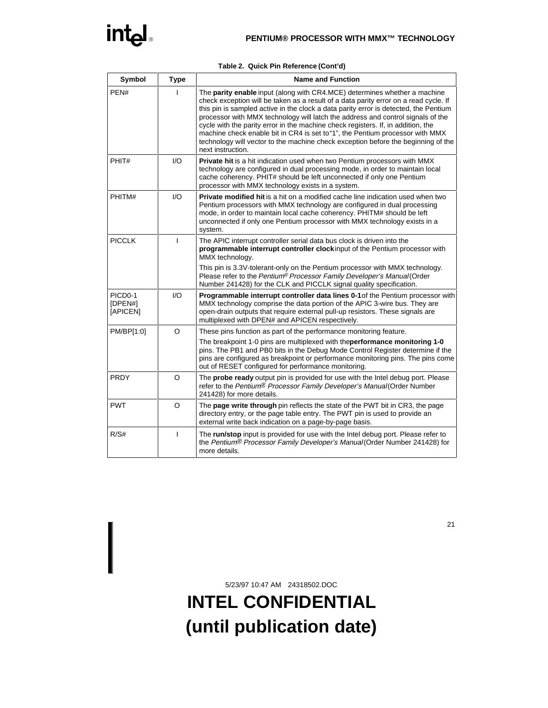|  | Table 2. Quick Pin Reference (Cont'd) |  |
|--|---------------------------------------|--|
|  |                                       |  |

| Symbol                         | <b>Type</b>  | <b>Name and Function</b>                                                                                                                                                                                                                                                                                                                                                                                                                                                                                                                                                                                                           |
|--------------------------------|--------------|------------------------------------------------------------------------------------------------------------------------------------------------------------------------------------------------------------------------------------------------------------------------------------------------------------------------------------------------------------------------------------------------------------------------------------------------------------------------------------------------------------------------------------------------------------------------------------------------------------------------------------|
| PEN#                           |              | The <b>parity enable</b> input (along with CR4.MCE) determines whether a machine<br>check exception will be taken as a result of a data parity error on a read cycle. If<br>this pin is sampled active in the clock a data parity error is detected, the Pentium<br>processor with MMX technology will latch the address and control signals of the<br>cycle with the parity error in the machine check registers. If, in addition, the<br>machine check enable bit in CR4 is set to "1", the Pentium processor with MMX<br>technology will vector to the machine check exception before the beginning of the<br>next instruction. |
| PHIT#                          | 1/O          | Private hit is a hit indication used when two Pentium processors with MMX<br>technology are configured in dual processing mode, in order to maintain local<br>cache coherency. PHIT# should be left unconnected if only one Pentium<br>processor with MMX technology exists in a system.                                                                                                                                                                                                                                                                                                                                           |
| PHITM#                         | I/O          | <b>Private modified hit</b> is a hit on a modified cache line indication used when two<br>Pentium processors with MMX technology are configured in dual processing<br>mode, in order to maintain local cache coherency. PHITM# should be left<br>unconnected if only one Pentium processor with MMX technology exists in a<br>system.                                                                                                                                                                                                                                                                                              |
| <b>PICCLK</b>                  | T            | The APIC interrupt controller serial data bus clock is driven into the<br>programmable interrupt controller clockinput of the Pentium processor with<br>MMX technology.                                                                                                                                                                                                                                                                                                                                                                                                                                                            |
|                                |              | This pin is 3.3V-tolerant-only on the Pentium processor with MMX technology.<br>Please refer to the Pentium® Processor Family Developer's Manual(Order<br>Number 241428) for the CLK and PICCLK signal quality specification.                                                                                                                                                                                                                                                                                                                                                                                                      |
| PICD0-1<br>[DPEN#]<br>[APICEN] | 1/O          | Programmable interrupt controller data lines 0-1 of the Pentium processor with<br>MMX technology comprise the data portion of the APIC 3-wire bus. They are<br>open-drain outputs that require external pull-up resistors. These signals are<br>multiplexed with DPEN# and APICEN respectively.                                                                                                                                                                                                                                                                                                                                    |
| PM/BP[1:0]                     | $\circ$      | These pins function as part of the performance monitoring feature.                                                                                                                                                                                                                                                                                                                                                                                                                                                                                                                                                                 |
|                                |              | The breakpoint 1-0 pins are multiplexed with theperformance monitoring 1-0<br>pins. The PB1 and PB0 bits in the Debug Mode Control Register determine if the<br>pins are configured as breakpoint or performance monitoring pins. The pins come<br>out of RESET configured for performance monitoring.                                                                                                                                                                                                                                                                                                                             |
| PRDY                           | $\circ$      | The probe ready output pin is provided for use with the Intel debug port. Please<br>refer to the Pentium <sup>®</sup> Processor Family Developer's Manual (Order Number<br>241428) for more details.                                                                                                                                                                                                                                                                                                                                                                                                                               |
| <b>PWT</b>                     | O            | The page write through pin reflects the state of the PWT bit in CR3, the page<br>directory entry, or the page table entry. The PWT pin is used to provide an<br>external write back indication on a page-by-page basis.                                                                                                                                                                                                                                                                                                                                                                                                            |
| R/S#                           | $\mathbf{I}$ | The run/stop input is provided for use with the Intel debug port. Please refer to<br>the Pentium® Processor Family Developer's Manual(Order Number 241428) for<br>more details.                                                                                                                                                                                                                                                                                                                                                                                                                                                    |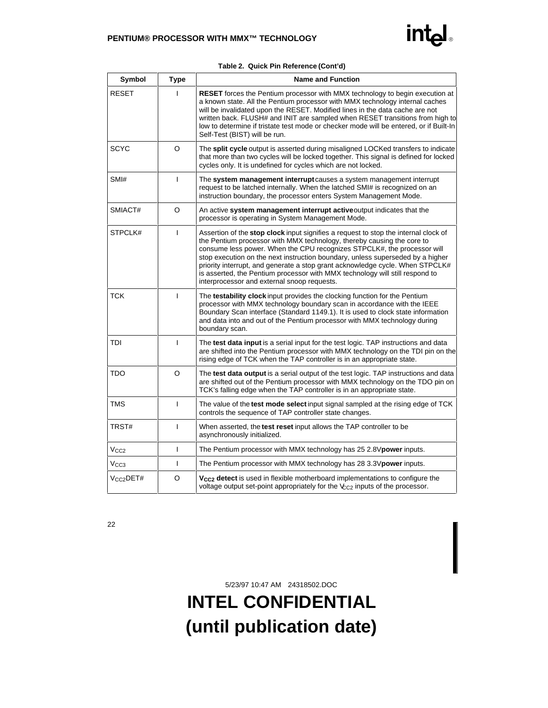|              |              | Table 2. Quick Pin Reference (Cont'd)                                                                                                                                                                                                                                                                                                                                                                                                                                                                                                      |
|--------------|--------------|--------------------------------------------------------------------------------------------------------------------------------------------------------------------------------------------------------------------------------------------------------------------------------------------------------------------------------------------------------------------------------------------------------------------------------------------------------------------------------------------------------------------------------------------|
| Symbol       | <b>Type</b>  | <b>Name and Function</b>                                                                                                                                                                                                                                                                                                                                                                                                                                                                                                                   |
| <b>RESET</b> | T            | <b>RESET</b> forces the Pentium processor with MMX technology to begin execution at<br>a known state. All the Pentium processor with MMX technology internal caches<br>will be invalidated upon the RESET. Modified lines in the data cache are not<br>written back. FLUSH# and INIT are sampled when RESET transitions from high to<br>low to determine if tristate test mode or checker mode will be entered, or if Built-In<br>Self-Test (BIST) will be run.                                                                            |
| <b>SCYC</b>  | O            | The split cycle output is asserted during misaligned LOCKed transfers to indicate<br>that more than two cycles will be locked together. This signal is defined for locked<br>cycles only. It is undefined for cycles which are not locked.                                                                                                                                                                                                                                                                                                 |
| SMI#         | L            | The system management interrupt causes a system management interrupt<br>request to be latched internally. When the latched SMI# is recognized on an<br>instruction boundary, the processor enters System Management Mode.                                                                                                                                                                                                                                                                                                                  |
| SMIACT#      | O            | An active system management interrupt active output indicates that the<br>processor is operating in System Management Mode.                                                                                                                                                                                                                                                                                                                                                                                                                |
| STPCLK#      | T            | Assertion of the stop clock input signifies a request to stop the internal clock of<br>the Pentium processor with MMX technology, thereby causing the core to<br>consume less power. When the CPU recognizes STPCLK#, the processor will<br>stop execution on the next instruction boundary, unless superseded by a higher<br>priority interrupt, and generate a stop grant acknowledge cycle. When STPCLK#<br>is asserted, the Pentium processor with MMX technology will still respond to<br>interprocessor and external snoop requests. |
| <b>TCK</b>   | L            | The testability clock input provides the clocking function for the Pentium<br>processor with MMX technology boundary scan in accordance with the IEEE<br>Boundary Scan interface (Standard 1149.1). It is used to clock state information<br>and data into and out of the Pentium processor with MMX technology during<br>boundary scan.                                                                                                                                                                                                   |
| TDI          | $\mathsf{I}$ | The test data input is a serial input for the test logic. TAP instructions and data<br>are shifted into the Pentium processor with MMX technology on the TDI pin on the<br>rising edge of TCK when the TAP controller is in an appropriate state.                                                                                                                                                                                                                                                                                          |
| TDO          | $\Omega$     | The test data output is a serial output of the test logic. TAP instructions and data<br>are shifted out of the Pentium processor with MMX technology on the TDO pin on<br>TCK's falling edge when the TAP controller is in an appropriate state.                                                                                                                                                                                                                                                                                           |
| <b>TMS</b>   | L            | The value of the <b>test mode select</b> input signal sampled at the rising edge of TCK<br>controls the sequence of TAP controller state changes.                                                                                                                                                                                                                                                                                                                                                                                          |
| TRST#        | $\mathsf{I}$ | When asserted, the test reset input allows the TAP controller to be<br>asynchronously initialized.                                                                                                                                                                                                                                                                                                                                                                                                                                         |
|              |              |                                                                                                                                                                                                                                                                                                                                                                                                                                                                                                                                            |

| TRST#            |   | When asserted, the <b>test reset</b> input allows the TAP controller to be<br>asynchronously initialized.                                                                    |
|------------------|---|------------------------------------------------------------------------------------------------------------------------------------------------------------------------------|
| V <sub>CC2</sub> |   | The Pentium processor with MMX technology has 25 2.8 V power inputs.                                                                                                         |
| V <sub>CC3</sub> |   | The Pentium processor with MMX technology has 28 3.3 V power inputs.                                                                                                         |
| $Vcc2$ DET#      | O | V <sub>CC2</sub> detect is used in flexible motherboard implementations to configure the<br>voltage output set-point appropriately for the $V_{C2}$ inputs of the processor. |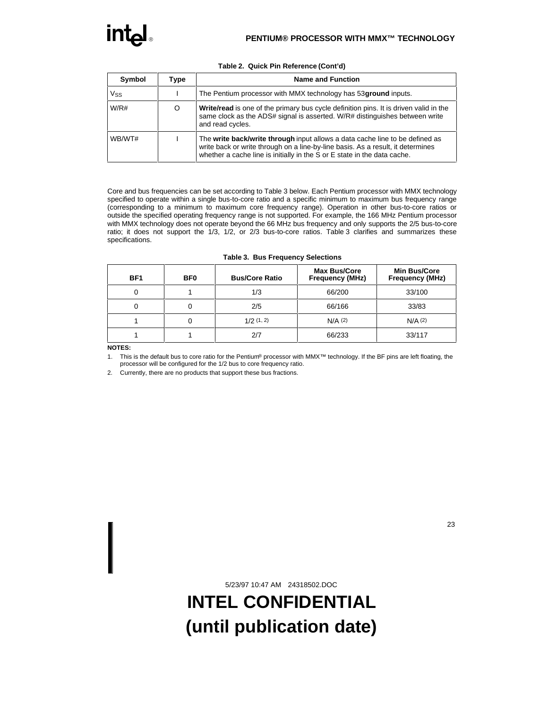| Symbol | Type | <b>Name and Function</b>                                                                                                                                                                                                                    |  |  |  |  |  |
|--------|------|---------------------------------------------------------------------------------------------------------------------------------------------------------------------------------------------------------------------------------------------|--|--|--|--|--|
| Vss    |      | The Pentium processor with MMX technology has 53 <b>ground</b> inputs.                                                                                                                                                                      |  |  |  |  |  |
| W/R#   | O    | <b>Write/read</b> is one of the primary bus cycle definition pins. It is driven valid in the<br>same clock as the ADS# signal is asserted. W/R# distinguishes between write<br>and read cycles.                                             |  |  |  |  |  |
| WB/WT# |      | The write back/write through input allows a data cache line to be defined as<br>write back or write through on a line-by-line basis. As a result, it determines<br>whether a cache line is initially in the S or E state in the data cache. |  |  |  |  |  |

#### **Table 2. Quick Pin Reference (Cont'd)**

Core and bus frequencies can be set according to Table 3 below. Each Pentium processor with MMX technology specified to operate within a single bus-to-core ratio and a specific minimum to maximum bus frequency range (corresponding to a minimum to maximum core frequency range). Operation in other bus-to-core ratios or outside the specified operating frequency range is not supported. For example, the 166 MHz Pentium processor with MMX technology does not operate beyond the 66 MHz bus frequency and only supports the 2/5 bus-to-core ratio; it does not support the 1/3, 1/2, or 2/3 bus-to-core ratios. Table 3 clarifies and summarizes these specifications.

| BF <sub>1</sub> | BF <sub>0</sub> | <b>Bus/Core Ratio</b> | <b>Max Bus/Core</b><br><b>Frequency (MHz)</b> | Min Bus/Core<br><b>Frequency (MHz)</b> |
|-----------------|-----------------|-----------------------|-----------------------------------------------|----------------------------------------|
|                 |                 | 1/3                   | 66/200                                        | 33/100                                 |
| υ               |                 | 2/5                   | 66/166                                        | 33/83                                  |
|                 |                 | 1/2(1, 2)             | $N/A$ (2)                                     | N/A(2)                                 |
|                 |                 | 2/7                   | 66/233                                        | 33/117                                 |

#### **Table 3. Bus Frequency Selections**

**NOTES:**

1. This is the default bus to core ratio for the Pentium® processor with MMX™ technology. If the BF pins are left floating, the processor will be configured for the 1/2 bus to core frequency ratio.

2. Currently, there are no products that support these bus fractions.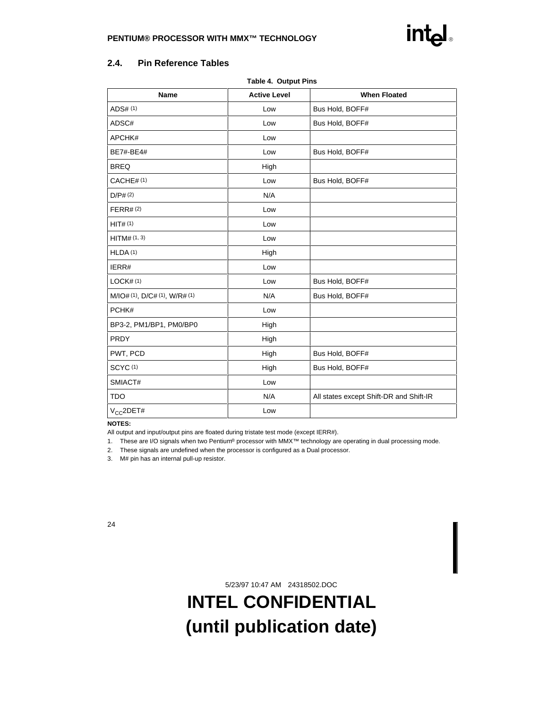## **2.4. Pin Reference Tables**

| rapic +. Output rins          |                     |                                         |  |  |  |  |  |
|-------------------------------|---------------------|-----------------------------------------|--|--|--|--|--|
| <b>Name</b>                   | <b>Active Level</b> | <b>When Floated</b>                     |  |  |  |  |  |
| ADS# (1)                      | Low                 | Bus Hold, BOFF#                         |  |  |  |  |  |
| ADSC#                         | Low                 | Bus Hold, BOFF#                         |  |  |  |  |  |
| APCHK#                        | Low                 |                                         |  |  |  |  |  |
| BE7#-BE4#                     | Low                 | Bus Hold, BOFF#                         |  |  |  |  |  |
| <b>BREQ</b>                   | High                |                                         |  |  |  |  |  |
| CACHE#(1)                     | Low                 | Bus Hold, BOFF#                         |  |  |  |  |  |
| D/P# (2)                      | N/A                 |                                         |  |  |  |  |  |
| FERR# (2)                     | Low                 |                                         |  |  |  |  |  |
| HIT#(1)                       | Low                 |                                         |  |  |  |  |  |
| HITM# (1, 3)                  | Low                 |                                         |  |  |  |  |  |
| HLDA(1)                       | High                |                                         |  |  |  |  |  |
| IERR#                         | Low                 |                                         |  |  |  |  |  |
| LOCK#(1)                      | Low                 | Bus Hold, BOFF#                         |  |  |  |  |  |
| M/IO# (1), D/C# (1), W/R# (1) | N/A                 | Bus Hold, BOFF#                         |  |  |  |  |  |
| PCHK#                         | Low                 |                                         |  |  |  |  |  |
| BP3-2, PM1/BP1, PM0/BP0       | High                |                                         |  |  |  |  |  |
| PRDY                          | High                |                                         |  |  |  |  |  |
| PWT, PCD                      | High                | Bus Hold, BOFF#                         |  |  |  |  |  |
| SCYC(1)                       | High                | Bus Hold, BOFF#                         |  |  |  |  |  |
| SMIACT#                       | Low                 |                                         |  |  |  |  |  |
| <b>TDO</b>                    | N/A                 | All states except Shift-DR and Shift-IR |  |  |  |  |  |
| $V_{CC}$ 2DET#                | Low                 |                                         |  |  |  |  |  |

#### **Table 4. Output Pins**

#### **NOTES:**

All output and input/output pins are floated during tristate test mode (except IERR#).

1. These are I/O signals when two Pentium® processor with MMX™ technology are operating in dual processing mode.

- 2. These signals are undefined when the processor is configured as a Dual processor.
- 3. M# pin has an internal pull-up resistor.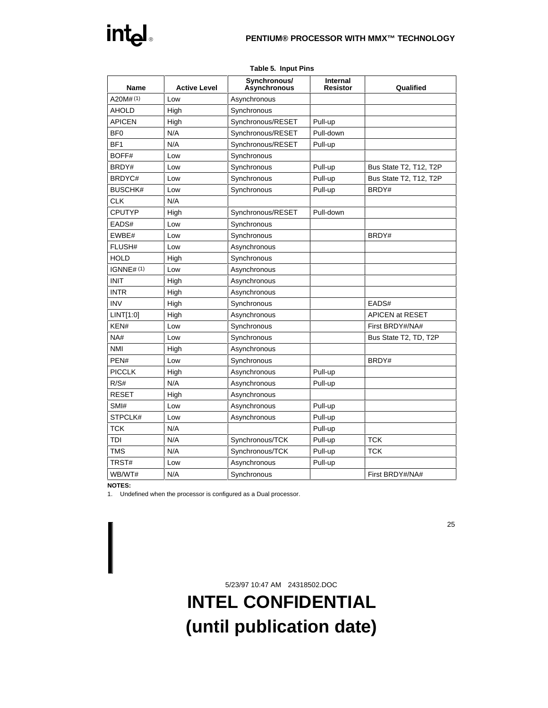

| Name            | <b>Active Level</b> | Synchronous/<br><b>Asynchronous</b> | Internal<br><b>Resistor</b> | Qualified              |
|-----------------|---------------------|-------------------------------------|-----------------------------|------------------------|
| A20M#(1)        | Low                 | Asynchronous                        |                             |                        |
| <b>AHOLD</b>    | High                | Synchronous                         |                             |                        |
| <b>APICEN</b>   | High                | Synchronous/RESET                   | Pull-up                     |                        |
| BF <sub>0</sub> | N/A                 | Synchronous/RESET                   | Pull-down                   |                        |
| BF <sub>1</sub> | N/A                 | Synchronous/RESET                   | Pull-up                     |                        |
| BOFF#           | Low                 | Synchronous                         |                             |                        |
| BRDY#           | Low                 | Synchronous                         | Pull-up                     | Bus State T2, T12, T2P |
| BRDYC#          | Low                 | Synchronous                         | Pull-up                     | Bus State T2, T12, T2P |
| <b>BUSCHK#</b>  | Low                 | Synchronous                         | Pull-up                     | BRDY#                  |
| <b>CLK</b>      | N/A                 |                                     |                             |                        |
| <b>CPUTYP</b>   | High                | Synchronous/RESET                   | Pull-down                   |                        |
| EADS#           | Low                 | Synchronous                         |                             |                        |
| EWBE#           | Low                 | Synchronous                         |                             | BRDY#                  |
| FLUSH#          | Low                 | Asynchronous                        |                             |                        |
| <b>HOLD</b>     | High                | Synchronous                         |                             |                        |
| IGNNE#(1)       | Low                 | Asynchronous                        |                             |                        |
| <b>INIT</b>     | High                | Asynchronous                        |                             |                        |
| <b>INTR</b>     | High                | Asynchronous                        |                             |                        |
| <b>INV</b>      | High                | Synchronous                         |                             | EADS#                  |
| LINT[1:0]       | High                | Asynchronous                        |                             | APICEN at RESET        |
| KEN#            | Low                 | Synchronous                         |                             | First BRDY#/NA#        |
| NA#             | Low                 | Synchronous                         |                             | Bus State T2, TD, T2P  |
| <b>NMI</b>      | High                | Asynchronous                        |                             |                        |
| PEN#            | Low                 | Synchronous                         |                             | BRDY#                  |
| <b>PICCLK</b>   | High                | Asynchronous                        | Pull-up                     |                        |
| R/S#            | N/A                 | Asynchronous                        | Pull-up                     |                        |
| <b>RESET</b>    | High                | Asynchronous                        |                             |                        |
| SMI#            | Low                 | Asynchronous                        | Pull-up                     |                        |
| STPCLK#         | Low                 | Asynchronous                        | Pull-up                     |                        |
| <b>TCK</b>      | N/A                 |                                     | Pull-up                     |                        |
| TDI             | N/A                 | Synchronous/TCK                     | Pull-up                     | <b>TCK</b>             |
| <b>TMS</b>      | N/A                 | Synchronous/TCK                     | Pull-up                     | <b>TCK</b>             |
| TRST#           | Low                 | Asynchronous                        | Pull-up                     |                        |
| WB/WT#          | N/A                 | Synchronous                         |                             | First BRDY#/NA#        |

#### **Table 5. Input Pins**

#### **NOTES:**

1. Undefined when the processor is configured as a Dual processor.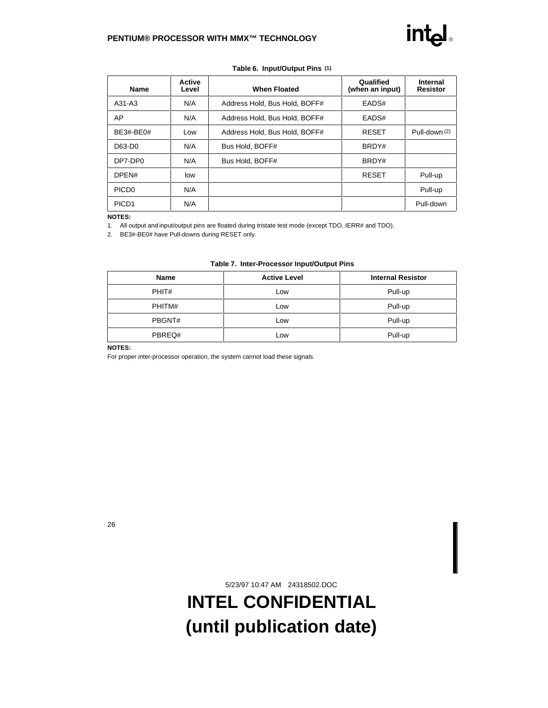| Table 6. Input/Output Pins (1) |                        |                               |                             |               |  |  |
|--------------------------------|------------------------|-------------------------------|-----------------------------|---------------|--|--|
| <b>Name</b>                    | <b>Active</b><br>Level | Qualified<br>(when an input)  | Internal<br><b>Resistor</b> |               |  |  |
| A31-A3                         | N/A                    | Address Hold, Bus Hold, BOFF# | EADS#                       |               |  |  |
| AP                             | N/A                    | Address Hold, Bus Hold, BOFF# | EADS#                       |               |  |  |
| BE3#-BE0#                      | Low                    | Address Hold, Bus Hold, BOFF# | <b>RESET</b>                | Pull-down (2) |  |  |
| D63-D0                         | N/A                    | Bus Hold, BOFF#               | BRDY#                       |               |  |  |
| DP7-DP0                        | N/A                    | Bus Hold, BOFF#               | BRDY#                       |               |  |  |
| DPEN#                          | low                    |                               | <b>RESET</b>                | Pull-up       |  |  |
| PICD <sub>0</sub>              | N/A                    |                               |                             | Pull-up       |  |  |
| PICD <sub>1</sub>              | N/A                    |                               |                             | Pull-down     |  |  |

#### **NOTES:**

1. All output and input/output pins are floated during tristate test mode (except TDO, IERR# and TDO).

2. BE3#-BE0# have Pull-downs during RESET only.

#### **Table 7. Inter-Processor Input/Output Pins**

| <b>Name</b> | <b>Active Level</b> | <b>Internal Resistor</b> |
|-------------|---------------------|--------------------------|
| PHIT#       | LOW                 | Pull-up                  |
| PHITM#      | Low                 | Pull-up                  |
| PBGNT#      | Low                 | Pull-up                  |
| PBREQ#      | Low                 | Pull-up                  |

**NOTES:**

For proper inter-processor operation, the system cannot load these signals.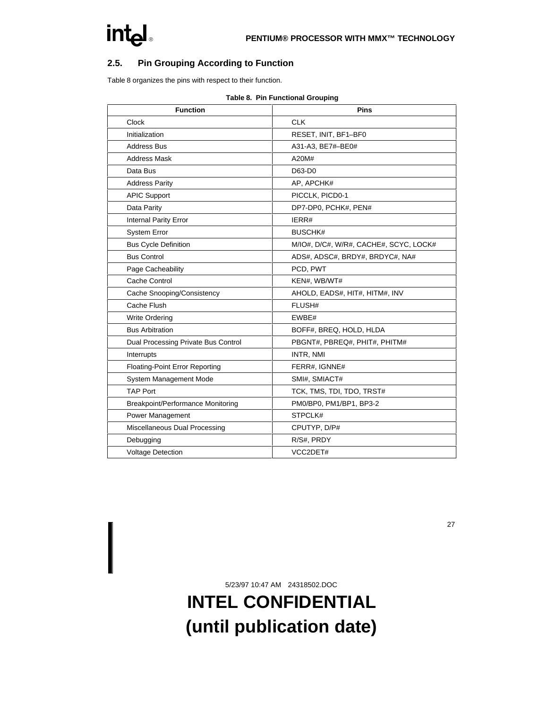## **2.5. Pin Grouping According to Function**

Table 8 organizes the pins with respect to their function.

| <b>Function</b>                       | <b>Pins</b>                            |
|---------------------------------------|----------------------------------------|
| Clock                                 | <b>CLK</b>                             |
| Initialization                        | RESET, INIT, BF1-BF0                   |
| <b>Address Bus</b>                    | A31-A3, BE7#-BE0#                      |
| <b>Address Mask</b>                   | A20M#                                  |
| Data Bus                              | D63-D0                                 |
| <b>Address Parity</b>                 | AP, APCHK#                             |
| <b>APIC Support</b>                   | PICCLK, PICD0-1                        |
| Data Parity                           | DP7-DP0, PCHK#, PEN#                   |
| <b>Internal Parity Error</b>          | IERR#                                  |
| <b>System Error</b>                   | <b>BUSCHK#</b>                         |
| <b>Bus Cycle Definition</b>           | M/IO#, D/C#, W/R#, CACHE#, SCYC, LOCK# |
| <b>Bus Control</b>                    | ADS#, ADSC#, BRDY#, BRDYC#, NA#        |
| Page Cacheability                     | PCD, PWT                               |
| Cache Control                         | KEN#, WB/WT#                           |
| Cache Snooping/Consistency            | AHOLD, EADS#, HIT#, HITM#, INV         |
| Cache Flush                           | FLUSH#                                 |
| <b>Write Ordering</b>                 | EWBE#                                  |
| <b>Bus Arbitration</b>                | BOFF#, BREQ, HOLD, HLDA                |
| Dual Processing Private Bus Control   | PBGNT#, PBREQ#, PHIT#, PHITM#          |
| Interrupts                            | INTR, NMI                              |
| <b>Floating-Point Error Reporting</b> | FERR#, IGNNE#                          |
| System Management Mode                | SMI#, SMIACT#                          |
| <b>TAP Port</b>                       | TCK, TMS, TDI, TDO, TRST#              |
| Breakpoint/Performance Monitoring     | PM0/BP0, PM1/BP1, BP3-2                |
| Power Management                      | STPCLK#                                |
| Miscellaneous Dual Processing         | CPUTYP, D/P#                           |
| Debugging                             | R/S#, PRDY                             |
| <b>Voltage Detection</b>              | VCC2DET#                               |

#### **Table 8. Pin Functional Grouping**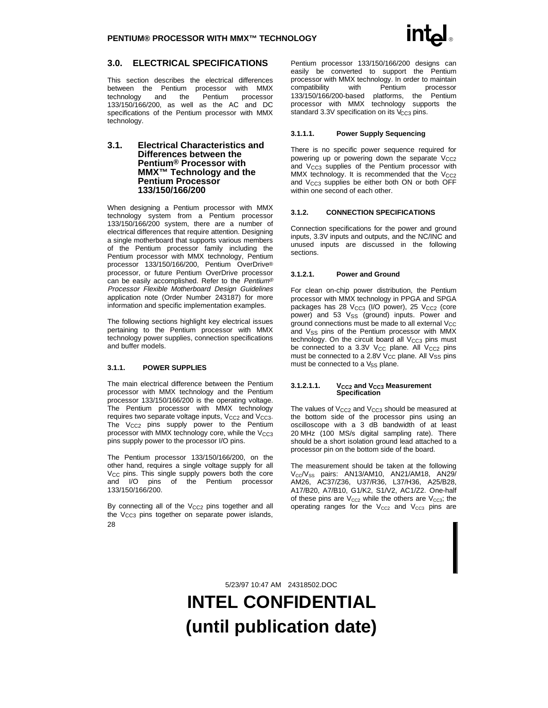### **3.0. ELECTRICAL SPECIFICATIONS**

This section describes the electrical differences between the Pentium processor with MMX technology and the Pentium processor 133/150/166/200, as well as the AC and DC specifications of the Pentium processor with MMX technology.

#### **3.1. Electrical Characteristics and Differences between the Pentium® Processor with MMX™ Technology and the Pentium Processor 133/150/166/200**

When designing a Pentium processor with MMX technology system from a Pentium processor 133/150/166/200 system, there are a number of electrical differences that require attention. Designing a single motherboard that supports various members of the Pentium processor family including the Pentium processor with MMX technology, Pentium processor 133/150/166/200, Pentium OverDrive® processor, or future Pentium OverDrive processor can be easily accomplished. Refer to the Pentium® Processor Flexible Motherboard Design Guidelines application note (Order Number 243187) for more information and specific implementation examples.

The following sections highlight key electrical issues pertaining to the Pentium processor with MMX technology power supplies, connection specifications and buffer models.

#### **3.1.1. POWER SUPPLIES**

The main electrical difference between the Pentium processor with MMX technology and the Pentium processor 133/150/166/200 is the operating voltage. The Pentium processor with MMX technology requires two separate voltage inputs, V<sub>CC2</sub> and V<sub>CC3</sub>. The  $V_{CC2}$  pins supply power to the Pentium processor with MMX technology core, while the  $V_{CC3}$ pins supply power to the processor I/O pins.

The Pentium processor 133/150/166/200, on the other hand, requires a single voltage supply for all  $V_{CC}$  pins. This single supply powers both the core and I/O pins of the Pentium processor 133/150/166/200.

28 By connecting all of the  $V_{CC2}$  pins together and all the  $V_{CC3}$  pins together on separate power islands, Pentium processor 133/150/166/200 designs can easily be converted to support the Pentium processor with MMX technology. In order to maintain<br>compatibility with Pentium processor compatibility 133/150/166/200-based platforms, the Pentium processor with MMX technology supports the standard 3.3V specification on its V<sub>CC3</sub> pins.

#### **3.1.1.1. Power Supply Sequencing**

There is no specific power sequence required for powering up or powering down the separate  $V_{CC2}$ and  $V_{CC3}$  supplies of the Pentium processor with MMX technology. It is recommended that the  $V_{CC2}$ and V<sub>CC3</sub> supplies be either both ON or both OFF within one second of each other.

#### **3.1.2. CONNECTION SPECIFICATIONS**

Connection specifications for the power and ground inputs, 3.3V inputs and outputs, and the NC/INC and unused inputs are discussed in the following sections.

#### **3.1.2.1. Power and Ground**

For clean on-chip power distribution, the Pentium processor with MMX technology in PPGA and SPGA packages has 28  $V_{CC3}$  (I/O power), 25  $V_{CC2}$  (core power) and 53  $V_{SS}$  (ground) inputs. Power and ground connections must be made to all external  $V_{CC}$ and V<sub>SS</sub> pins of the Pentium processor with MMX technology. On the circuit board all  $V_{CC3}$  pins must be connected to a 3.3V  $V_{CC}$  plane. All  $V_{CC2}$  pins must be connected to a 2.8V V<sub>CC</sub> plane. All V<sub>SS</sub> pins must be connected to a V<sub>SS</sub> plane.

#### **3.1.2.1.1.** V<sub>CC2</sub> and V<sub>CC3</sub> Measurement **Specification**

The values of  $V_{CC2}$  and  $V_{CC3}$  should be measured at the bottom side of the processor pins using an oscilloscope with a 3 dB bandwidth of at least 20 MHz (100 MS/s digital sampling rate). There should be a short isolation ground lead attached to a processor pin on the bottom side of the board.

The measurement should be taken at the following  $V_{\text{CC}}/V_{\text{SS}}$  pairs: AN13/AM10, AN21/AM18, AN29/ AM26, AC37/Z36, U37/R36, L37/H36, A25/B28, A17/B20, A7/B10, G1/K2, S1/V2, AC1/Z2. One-half of these pins are  $V_{CC2}$  while the others are  $V_{CC3}$ ; the operating ranges for the  $V_{CC2}$  and  $V_{CC3}$  pins are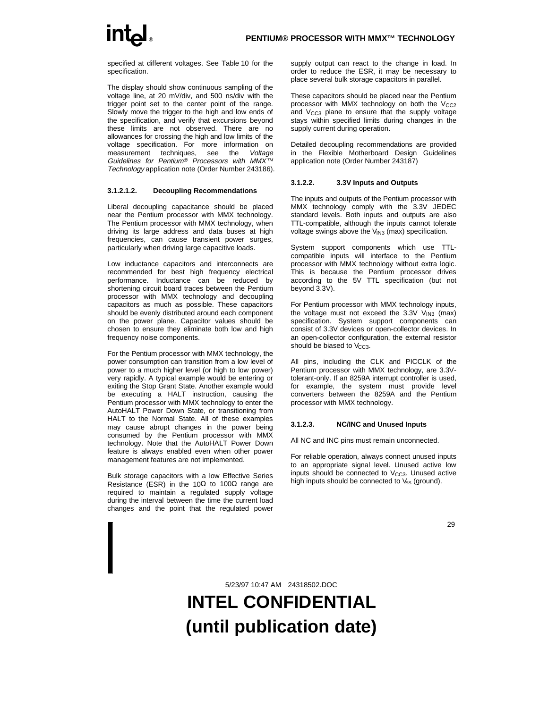specified at different voltages. See Table 10 for the specification.

The display should show continuous sampling of the voltage line, at 20 mV/div, and 500 ns/div with the trigger point set to the center point of the range. Slowly move the trigger to the high and low ends of the specification, and verify that excursions beyond these limits are not observed. There are no allowances for crossing the high and low limits of the voltage specification. For more information on measurement techniques, see the Voltage Guidelines for Pentium® Processors with MMX<sup>™</sup> Technology application note (Order Number 243186).

#### **3.1.2.1.2. Decoupling Recommendations**

Liberal decoupling capacitance should be placed near the Pentium processor with MMX technology. The Pentium processor with MMX technology, when driving its large address and data buses at high frequencies, can cause transient power surges, particularly when driving large capacitive loads.

Low inductance capacitors and interconnects are recommended for best high frequency electrical performance. Inductance can be reduced by shortening circuit board traces between the Pentium processor with MMX technology and decoupling capacitors as much as possible. These capacitors should be evenly distributed around each component on the power plane. Capacitor values should be chosen to ensure they eliminate both low and high frequency noise components.

For the Pentium processor with MMX technology, the power consumption can transition from a low level of power to a much higher level (or high to low power) very rapidly. A typical example would be entering or exiting the Stop Grant State. Another example would be executing a HALT instruction, causing the Pentium processor with MMX technology to enter the AutoHALT Power Down State, or transitioning from HALT to the Normal State. All of these examples may cause abrupt changes in the power being consumed by the Pentium processor with MMX technology. Note that the AutoHALT Power Down feature is always enabled even when other power management features are not implemented.

Bulk storage capacitors with a low Effective Series Resistance (ESR) in the 10 $\Omega$  to 100 $\Omega$  range are required to maintain a regulated supply voltage during the interval between the time the current load changes and the point that the regulated power supply output can react to the change in load. In order to reduce the ESR, it may be necessary to place several bulk storage capacitors in parallel.

These capacitors should be placed near the Pentium processor with MMX technology on both the  $V_{CC2}$ and  $V_{CC3}$  plane to ensure that the supply voltage stays within specified limits during changes in the supply current during operation.

Detailed decoupling recommendations are provided in the Flexible Motherboard Design Guidelines application note (Order Number 243187)

#### **3.1.2.2. 3.3V Inputs and Outputs**

The inputs and outputs of the Pentium processor with MMX technology comply with the 3.3V JEDEC standard levels. Both inputs and outputs are also TTL-compatible, although the inputs cannot tolerate voltage swings above the  $V_{1N3}$  (max) specification.

System support components which use TTLcompatible inputs will interface to the Pentium processor with MMX technology without extra logic. This is because the Pentium processor drives according to the 5V TTL specification (but not beyond 3.3V).

For Pentium processor with MMX technology inputs, the voltage must not exceed the  $3.3V$  V<sub>IN3</sub> (max) specification. System support components can consist of 3.3V devices or open-collector devices. In an open-collector configuration, the external resistor should be biased to  $V_{CC3}$ .

All pins, including the CLK and PICCLK of the Pentium processor with MMX technology, are 3.3Vtolerant-only. If an 8259A interrupt controller is used, for example, the system must provide level converters between the 8259A and the Pentium processor with MMX technology.

#### **3.1.2.3. NC/INC and Unused Inputs**

All NC and INC pins must remain unconnected.

For reliable operation, always connect unused inputs to an appropriate signal level. Unused active low inputs should be connected to  $V_{CCS}$ . Unused active high inputs should be connected to  $V_{SS}$  (ground).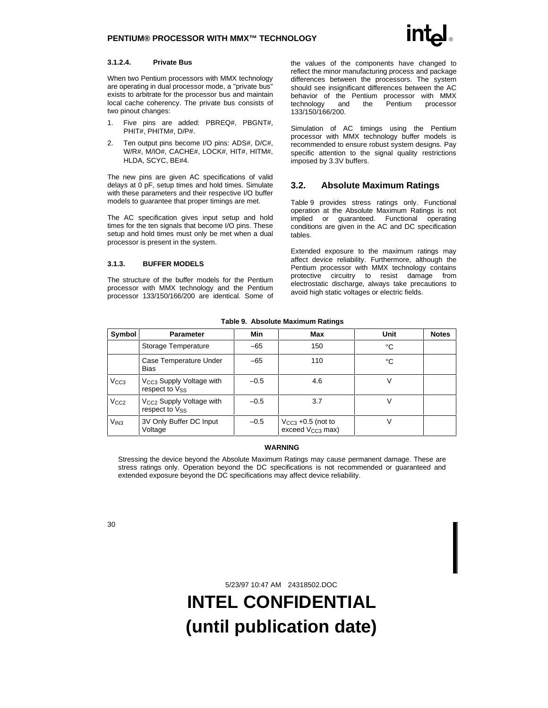#### **3.1.2.4. Private Bus**

When two Pentium processors with MMX technology are operating in dual processor mode, a "private bus" exists to arbitrate for the processor bus and maintain local cache coherency. The private bus consists of two pinout changes:

- 1. Five pins are added: PBREQ#, PBGNT#, PHIT#, PHITM#, D/P#.
- 2. Ten output pins become I/O pins: ADS#, D/C#, W/R#, M/IO#, CACHE#, LOCK#, HIT#, HITM#, HLDA, SCYC, BE#4.

The new pins are given AC specifications of valid delays at 0 pF, setup times and hold times. Simulate with these parameters and their respective I/O buffer models to guarantee that proper timings are met.

The AC specification gives input setup and hold times for the ten signals that become I/O pins. These setup and hold times must only be met when a dual processor is present in the system.

#### **3.1.3. BUFFER MODELS**

The structure of the buffer models for the Pentium processor with MMX technology and the Pentium processor 133/150/166/200 are identical. Some of the values of the components have changed to reflect the minor manufacturing process and package differences between the processors. The system should see insignificant differences between the AC behavior of the Pentium processor with MMX<br>technology and the Pentium processor technology and the Pentium processor 133/150/166/200.

Simulation of AC timings using the Pentium processor with MMX technology buffer models is recommended to ensure robust system designs. Pay specific attention to the signal quality restrictions imposed by 3.3V buffers.

### **3.2. Absolute Maximum Ratings**

Table 9 provides stress ratings only. Functional operation at the Absolute Maximum Ratings is not implied or guaranteed. Functional operating conditions are given in the AC and DC specification tables.

Extended exposure to the maximum ratings may affect device reliability. Furthermore, although the Pentium processor with MMX technology contains protective circuitry to resist damage from electrostatic discharge, always take precautions to avoid high static voltages or electric fields.

| Symbol           | <b>Parameter</b>                                       | Min    | Max                                                    | Unit | <b>Notes</b> |
|------------------|--------------------------------------------------------|--------|--------------------------------------------------------|------|--------------|
|                  | Storage Temperature                                    | $-65$  | 150                                                    | °C   |              |
|                  | Case Temperature Under<br><b>Bias</b>                  | $-65$  | 110                                                    | °C   |              |
| V <sub>CC3</sub> | V <sub>CC3</sub> Supply Voltage with<br>respect to Vss | $-0.5$ | 4.6                                                    | V    |              |
| V <sub>CC2</sub> | V <sub>CC2</sub> Supply Voltage with<br>respect to Vss | $-0.5$ | 3.7                                                    | V    |              |
| V <sub>IN3</sub> | 3V Only Buffer DC Input<br>Voltage                     | $-0.5$ | $V_{CC3}$ +0.5 (not to<br>exceed V <sub>CC3</sub> max) | ν    |              |

**Table 9. Absolute Maximum Ratings**

#### **WARNING**

Stressing the device beyond the Absolute Maximum Ratings may cause permanent damage. These are stress ratings only. Operation beyond the DC specifications is not recommended or guaranteed and extended exposure beyond the DC specifications may affect device reliability.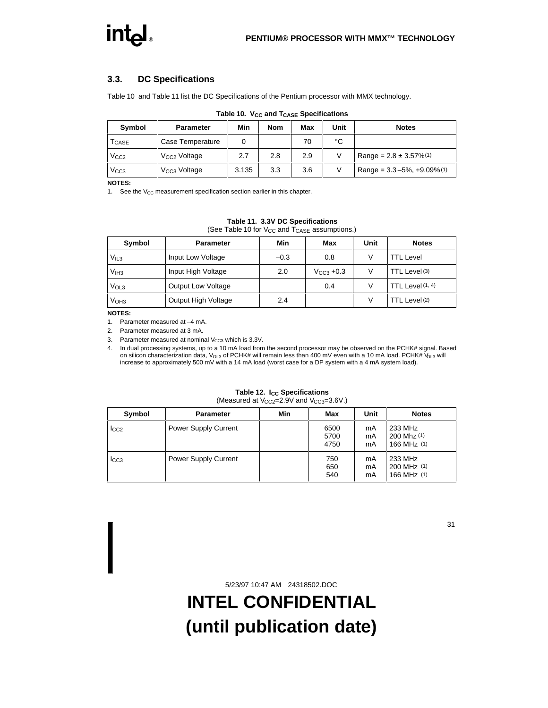## **3.3. DC Specifications**

Table 10 and Table 11 list the DC Specifications of the Pentium processor with MMX technology.

| <b>Symbol</b>              | <b>Parameter</b>         | Min   | <b>Nom</b> | Max | <b>Unit</b> | <b>Notes</b>                                   |
|----------------------------|--------------------------|-------|------------|-----|-------------|------------------------------------------------|
| $\mathsf{T}_\mathsf{CASE}$ | Case Temperature         |       |            | 70  | °C          |                                                |
| V <sub>CC2</sub>           | V <sub>CC2</sub> Voltage | 2.7   | 2.8        | 2.9 |             | Range = $2.8 \pm 3.57\%/1$                     |
| V <sub>CC3</sub>           | $VCC3$ Voltage           | 3.135 | 3.3        | 3.6 |             | Range = $3.3 - 5\%$ , $+9.09\%$ <sup>(1)</sup> |

#### **Table 10. V<sub>CC</sub> and T<sub>CASE</sub> Specifications**

**NOTES:**

1. See the  $V_{CC}$  measurement specification section earlier in this chapter.

#### **Table 11. 3.3V DC Specifications**

(See Table 10 for  $V_{CC}$  and  $T_{CASE}$  assumptions.)

| Symbol           | <b>Parameter</b>          | Min    | Max                    | Unit | <b>Notes</b>     |
|------------------|---------------------------|--------|------------------------|------|------------------|
| $V_{IL3}$        | Input Low Voltage         | $-0.3$ | 0.8                    | V    | TTL Level        |
| V <sub>IH3</sub> | Input High Voltage        | 2.0    | $V_{\text{CC3}} + 0.3$ | V    | TTL Level (3)    |
| V <sub>OL3</sub> | <b>Output Low Voltage</b> |        | 0.4                    | V    | TTL Level (1, 4) |
| V <sub>OH3</sub> | Output High Voltage       | 2.4    |                        | v    | TTL Level (2)    |

**NOTES:**

1. Parameter measured at –4 mA.

2. Parameter measured at 3 mA.

3. Parameter measured at nominal  $V_{CC3}$  which is 3.3V.

4. In dual processing systems, up to a 10 mA load from the second processor may be observed on the PCHK# signal. Based on silicon characterization data, V<sub>OL3</sub> of PCHK# will remain less than 400 mV even with a 10 mA load. PCHK# V<sub>OL3</sub> will increase to approximately 500 mV with a 14 mA load (worst case for a DP system with a 4 mA system load).

#### **Table 12. Icc Specifications** (Measured at  $V_{CC2}=2.9V$  and  $V_{CC3}=3.6V$ .)

| Symbol           | <b>Parameter</b>            | Min | Max                  | Unit           | <b>Notes</b>                          |
|------------------|-----------------------------|-----|----------------------|----------------|---------------------------------------|
| $I_{CC2}$        | <b>Power Supply Current</b> |     | 6500<br>5700<br>4750 | mA<br>mA<br>mA | 233 MHz<br>200 Mhz (1)<br>166 MHz (1) |
| $_{\text{LCG} }$ | <b>Power Supply Current</b> |     | 750<br>650<br>540    | mA<br>mA<br>mA | 233 MHz<br>200 MHz (1)<br>166 MHz (1) |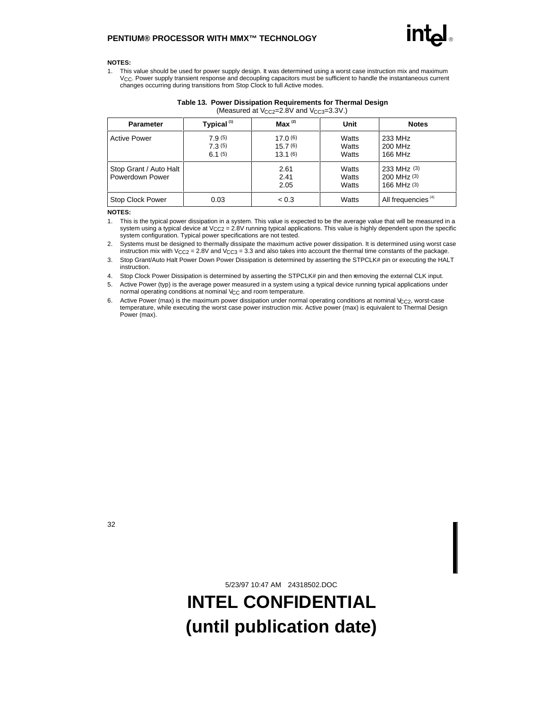#### **NOTES:**

1. This value should be used for power supply design. It was determined using a worst case instruction mix and maximum VCC. Power supply transient response and decoupling capacitors must be sufficient to handle the instantaneous current changes occurring during transitions from Stop Clock to full Active modes.

| <b>Parameter</b>                          | Typical <sup>(1)</sup>     | $Max^{(2)}$                   | Unit                    | <b>Notes</b>                                      |
|-------------------------------------------|----------------------------|-------------------------------|-------------------------|---------------------------------------------------|
| <b>Active Power</b>                       | 7.9(5)<br>7.3(5)<br>6.1(5) | 17.0(6)<br>15.7(6)<br>13.1(6) | Watts<br>Watts<br>Watts | 233 MHz<br>200 MHz<br>166 MHz                     |
| Stop Grant / Auto Halt<br>Powerdown Power |                            | 2.61<br>2.41<br>2.05          | Watts<br>Watts<br>Watts | 233 MHz (3)<br>$200$ MHz $(3)$<br>$166$ MHz $(3)$ |
| Stop Clock Power                          | 0.03                       | < 0.3                         | Watts                   | All frequencies <sup>(4)</sup>                    |

#### **Table 13. Power Dissipation Requirements for Thermal Design** (Measured at  $V_{CC2}$ =2.8V and  $V_{CC3}$ =3.3V.)

#### **NOTES:**

1. This is the typical power dissipation in a system. This value is expected to be the average value that will be measured in a system using a typical device at  $V_{CC2} = 2.8V$  running typical applications. This value is highly dependent upon the specific system configuration. Typical power specifications are not tested.

2. Systems must be designed to thermally dissipate the maximum active power dissipation. It is determined using worst case instruction mix with V<sub>CC2</sub> = 2.8V and V<sub>CC3</sub> = 3.3 and also takes into account the thermal time constants of the package.

3. Stop Grant/Auto Halt Power Down Power Dissipation is determined by asserting the STPCLK# pin or executing the HALT instruction.

4. Stop Clock Power Dissipation is determined by asserting the STPCLK# pin and then removing the external CLK input.

5. Active Power (typ) is the average power measured in a system using a typical device running typical applications under normal operating conditions at nominal  $V_{CC}$  and room temperature.

6. Active Power (max) is the maximum power dissipation under normal operating conditions at nominal  $V_{C C2}$ , worst-case temperature, while executing the worst case power instruction mix. Active power (max) is equivalent to Thermal Design Power (max).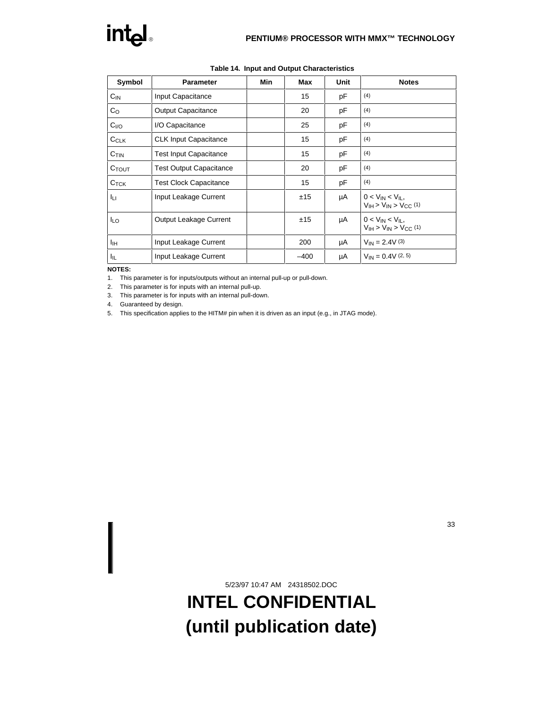| Symbol                  | <b>Parameter</b>               | Min | Max    | Unit | <b>Notes</b>                                                  |
|-------------------------|--------------------------------|-----|--------|------|---------------------------------------------------------------|
| $C_{IN}$                | Input Capacitance              |     | 15     | рF   | (4)                                                           |
| $\mathsf{C}_\mathsf{O}$ | <b>Output Capacitance</b>      |     | 20     | рF   | (4)                                                           |
| C <sub>I/O</sub>        | I/O Capacitance                |     | 25     | рF   | (4)                                                           |
| CCLK                    | <b>CLK Input Capacitance</b>   |     | 15     | pF   | (4)                                                           |
| $C$ <sub>TIN</sub>      | <b>Test Input Capacitance</b>  |     | 15     | pF   | (4)                                                           |
| $C_{TOUT}$              | <b>Test Output Capacitance</b> |     | 20     | рF   | (4)                                                           |
| $C_{\text{TCK}}$        | <b>Test Clock Capacitance</b>  |     | 15     | рF   | (4)                                                           |
| Iц                      | Input Leakage Current          |     | ±15    | μA   | $0 < V_{IN} < V_{II}$ ,<br>$V_{IH}$ > $V_{IN}$ > $V_{CC}$ (1) |
| <b>ILO</b>              | <b>Output Leakage Current</b>  |     | ±15    | μA   | $0 < V_{IN} < V_{II}$ ,<br>$VIH > VIN > VCC (1)$              |
| Iін                     | Input Leakage Current          |     | 200    | μA   | $V_{IN} = 2.4V(3)$                                            |
| I <sub>IL</sub>         | Input Leakage Current          |     | $-400$ | μA   | $V_{IN} = 0.4V(2, 5)$                                         |

**Table 14. Input and Output Characteristics**

#### **NOTES:**

1. This parameter is for inputs/outputs without an internal pull-up or pull-down.

2. This parameter is for inputs with an internal pull-up.

3. This parameter is for inputs with an internal pull-down.

4. Guaranteed by design.

5. This specification applies to the HITM# pin when it is driven as an input (e.g., in JTAG mode).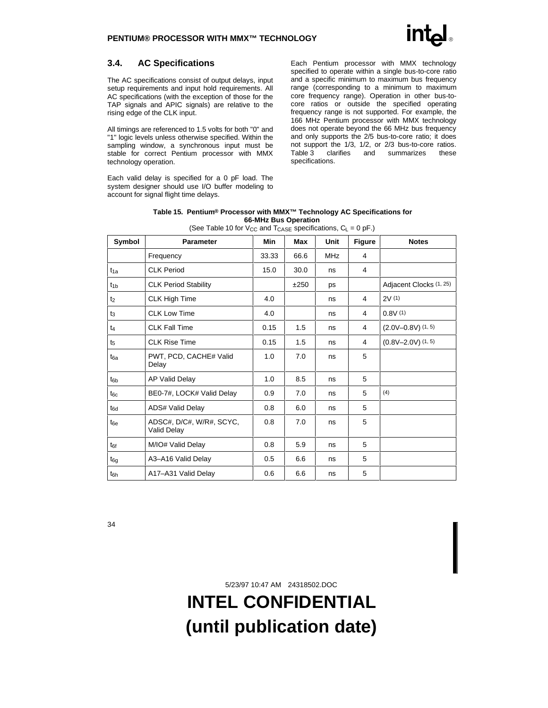## **3.4. AC Specifications**

The AC specifications consist of output delays, input setup requirements and input hold requirements. All AC specifications (with the exception of those for the TAP signals and APIC signals) are relative to the rising edge of the CLK input.

All timings are referenced to 1.5 volts for both "0" and "1" logic levels unless otherwise specified. Within the sampling window, a synchronous input must be stable for correct Pentium processor with MMX technology operation.

Each valid delay is specified for a 0 pF load. The system designer should use I/O buffer modeling to account for signal flight time delays.

Each Pentium processor with MMX technology specified to operate within a single bus-to-core ratio and a specific minimum to maximum bus frequency range (corresponding to a minimum to maximum core frequency range). Operation in other bus-tocore ratios or outside the specified operating frequency range is not supported. For example, the 166 MHz Pentium processor with MMX technology does not operate beyond the 66 MHz bus frequency and only supports the 2/5 bus-to-core ratio; it does not support the 1/3, 1/2, or 2/3 bus-to-core ratios.<br>Table 3 clarifies and summarizes these clarifies and summarizes these specifications.

| Table 15. Pentium® Processor with MMX™ Technology AC Specifications for |
|-------------------------------------------------------------------------|
| 66-MHz Bus Operation                                                    |

| Symbol          | <b>Parameter</b>                        | Min   | Max  | Unit       | <b>Figure</b> | <b>Notes</b>             |
|-----------------|-----------------------------------------|-------|------|------------|---------------|--------------------------|
|                 | Frequency                               | 33.33 | 66.6 | <b>MHz</b> | 4             |                          |
| $t_{1a}$        | <b>CLK Period</b>                       | 15.0  | 30.0 | ns         | 4             |                          |
| $t_{1b}$        | <b>CLK Period Stability</b>             |       | ±250 | ps         |               | Adjacent Clocks (1, 25)  |
| t <sub>2</sub>  | <b>CLK High Time</b>                    | 4.0   |      | ns         | 4             | 2V(1)                    |
| $t_3$           | <b>CLK Low Time</b>                     | 4.0   |      | ns         | 4             | 0.8V(1)                  |
| $t_4$           | <b>CLK Fall Time</b>                    | 0.15  | 1.5  | ns         | 4             | $(2.0V - 0.8V)$ $(1, 5)$ |
| t <sub>5</sub>  | <b>CLK Rise Time</b>                    | 0.15  | 1.5  | ns         | 4             | $(0.8V - 2.0V)$ (1, 5)   |
| t <sub>6a</sub> | PWT, PCD, CACHE# Valid<br>Delay         | 1.0   | 7.0  | ns         | 5             |                          |
| tsb             | AP Valid Delay                          | 1.0   | 8.5  | ns         | 5             |                          |
| $t_{6c}$        | BE0-7#, LOCK# Valid Delay               | 0.9   | 7.0  | ns         | 5             | (4)                      |
| t <sub>6d</sub> | ADS# Valid Delay                        | 0.8   | 6.0  | ns         | 5             |                          |
| t <sub>6e</sub> | ADSC#, D/C#, W/R#, SCYC,<br>Valid Delay | 0.8   | 7.0  | ns         | 5             |                          |
| tef             | M/IO# Valid Delay                       | 0.8   | 5.9  | ns         | 5             |                          |
| t <sub>6g</sub> | A3-A16 Valid Delay                      | 0.5   | 6.6  | ns         | 5             |                          |
| t <sub>6h</sub> | A17-A31 Valid Delay                     | 0.6   | 6.6  | ns         | 5             |                          |

(See Table 10 for  $V_{CC}$  and  $T_{CASE}$  specifications,  $C_L = 0$  pF.)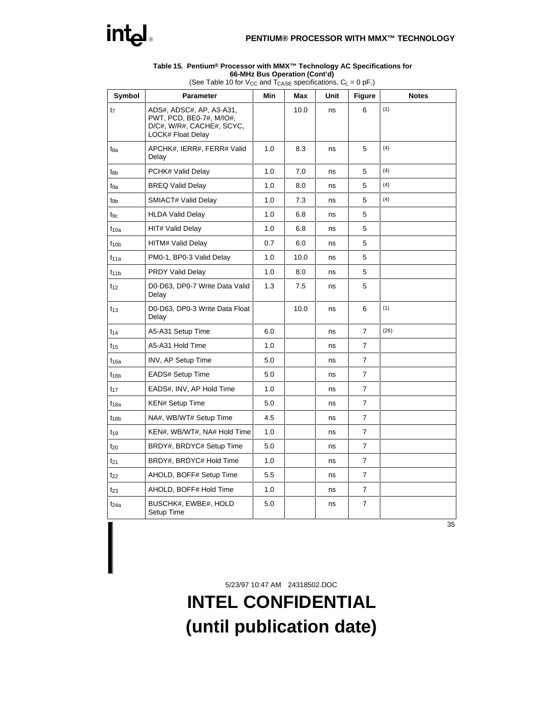

#### **Table 15. Pentium® Processor with MMX™ Technology AC Specifications for 66-MHz Bus Operation (Cont'd)**

| Symbol           | <b>Parameter</b>                                                                                              | Min | Max  | Unit | <b>Figure</b>  | <b>Notes</b> |  |
|------------------|---------------------------------------------------------------------------------------------------------------|-----|------|------|----------------|--------------|--|
| t <sub>7</sub>   | ADS#, ADSC#, AP, A3-A31,<br>PWT, PCD, BE0-7#, M/IO#,<br>D/C#, W/R#, CACHE#, SCYC,<br><b>LOCK# Float Delay</b> |     | 10.0 | ns   | 6              | (1)          |  |
| t <sub>8a</sub>  | APCHK#, IERR#, FERR# Valid<br>Delay                                                                           | 1.0 | 8.3  | ns   | 5              | (4)          |  |
| t <sub>8b</sub>  | PCHK# Valid Delay                                                                                             | 1.0 | 7.0  | ns   | 5              | (4)          |  |
| tga              | <b>BREQ Valid Delay</b>                                                                                       | 1.0 | 8.0  | ns   | 5              | (4)          |  |
| tgb              | SMIACT# Valid Delay                                                                                           | 1.0 | 7.3  | ns   | 5              | (4)          |  |
| tgc              | <b>HLDA Valid Delay</b>                                                                                       | 1.0 | 6.8  | ns   | 5              |              |  |
| $t_{10a}$        | HIT# Valid Delay                                                                                              | 1.0 | 6.8  | ns   | 5              |              |  |
| t <sub>10b</sub> | <b>HITM# Valid Delay</b>                                                                                      | 0.7 | 6.0  | ns   | 5              |              |  |
| $t_{11a}$        | PM0-1, BP0-3 Valid Delay                                                                                      | 1.0 | 10.0 | ns   | 5              |              |  |
| $t_{11b}$        | <b>PRDY Valid Delay</b>                                                                                       | 1.0 | 8.0  | ns   | 5              |              |  |
| $t_{12}$         | D0-D63, DP0-7 Write Data Valid<br>Delay                                                                       | 1.3 | 7.5  | ns   | 5              |              |  |
| $t_{13}$         | D0-D63, DP0-3 Write Data Float<br>Delay                                                                       |     | 10.0 | ns   | 6              | (1)          |  |
| $t_{14}$         | A5-A31 Setup Time                                                                                             | 6.0 |      | ns   | 7              | (26)         |  |
| $t_{15}$         | A5-A31 Hold Time                                                                                              | 1.0 |      | ns   | $\overline{7}$ |              |  |
| $t_{16a}$        | <b>INV, AP Setup Time</b>                                                                                     | 5.0 |      | ns   | 7              |              |  |
| $t_{16b}$        | EADS# Setup Time                                                                                              | 5.0 |      | ns   | $\overline{7}$ |              |  |
| $t_{17}$         | EADS#, INV, AP Hold Time                                                                                      | 1.0 |      | ns   | 7              |              |  |
| $t_{18a}$        | <b>KEN# Setup Time</b>                                                                                        | 5.0 |      | ns   | 7              |              |  |
| $t_{18b}$        | NA#, WB/WT# Setup Time                                                                                        | 4.5 |      | ns   | 7              |              |  |
| $t_{19}$         | KEN#, WB/WT#, NA# Hold Time                                                                                   | 1.0 |      | ns   | 7              |              |  |
| $t_{20}$         | BRDY#, BRDYC# Setup Time                                                                                      | 5.0 |      | ns   | 7              |              |  |
| $t_{21}$         | BRDY#, BRDYC# Hold Time                                                                                       | 1.0 |      | ns   | 7              |              |  |
| $t_{22}$         | AHOLD, BOFF# Setup Time                                                                                       | 5.5 |      | ns   | 7              |              |  |
| $t_{23}$         | AHOLD, BOFF# Hold Time                                                                                        | 1.0 |      | ns   | $\overline{7}$ |              |  |
| $t_{24a}$        | BUSCHK#, EWBE#, HOLD<br>Setup Time                                                                            | 5.0 |      | ns   | 7              |              |  |

(See Table 10 for V<sub>CC</sub> and  $T_{\text{CASE}}$  specifications,  $C_L = 0$  pF.)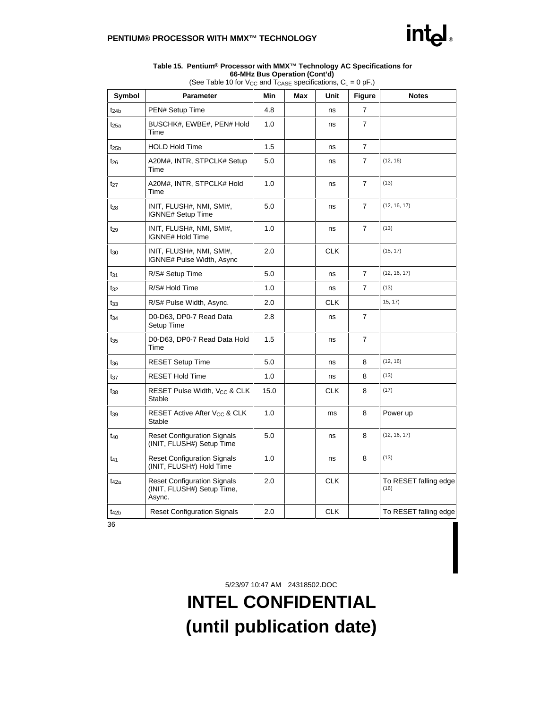

#### **Table 15. Pentium® Processor with MMX™ Technology AC Specifications for 66-MHz Bus Operation (Cont'd)**

| Symbol           | <b>Parameter</b>                                                           | Min  | Max | Unit       | <b>Figure</b>  | <b>Notes</b>                  |
|------------------|----------------------------------------------------------------------------|------|-----|------------|----------------|-------------------------------|
| $t_{24b}$        | PEN# Setup Time                                                            | 4.8  |     | ns         | 7              |                               |
| $t_{25a}$        | BUSCHK#, EWBE#, PEN# Hold<br>Time                                          | 1.0  |     | ns         | 7              |                               |
| $t_{25b}$        | <b>HOLD Hold Time</b>                                                      | 1.5  |     | ns         | $\overline{7}$ |                               |
| $t_{26}$         | A20M#, INTR, STPCLK# Setup<br>Time                                         | 5.0  |     | ns         | $\overline{7}$ | (12, 16)                      |
| t <sub>27</sub>  | A20M#, INTR, STPCLK# Hold<br>Time                                          | 1.0  |     | ns         | $\overline{7}$ | (13)                          |
| $t_{28}$         | INIT, FLUSH#, NMI, SMI#,<br><b>IGNNE# Setup Time</b>                       | 5.0  |     | ns         | $\overline{7}$ | (12, 16, 17)                  |
| t <sub>29</sub>  | INIT, FLUSH#, NMI, SMI#,<br>IGNNE# Hold Time                               | 1.0  |     | ns         | 7              | (13)                          |
| $t_{30}$         | INIT, FLUSH#, NMI, SMI#,<br>IGNNE# Pulse Width, Async                      | 2.0  |     | <b>CLK</b> |                | (15, 17)                      |
| $t_{31}$         | R/S# Setup Time                                                            | 5.0  |     | ns         | $\overline{7}$ | (12, 16, 17)                  |
| t32              | R/S# Hold Time                                                             | 1.0  |     | ns         | $\overline{7}$ | (13)                          |
| t33              | R/S# Pulse Width, Async.                                                   | 2.0  |     | <b>CLK</b> |                | 15, 17)                       |
| $t_{34}$         | D0-D63, DP0-7 Read Data<br>Setup Time                                      | 2.8  |     | ns         | $\overline{7}$ |                               |
| t <sub>35</sub>  | D0-D63, DP0-7 Read Data Hold<br>Time                                       | 1.5  |     | ns         | 7              |                               |
| t <sub>36</sub>  | <b>RESET Setup Time</b>                                                    | 5.0  |     | ns         | 8              | (12, 16)                      |
| t <sub>37</sub>  | <b>RESET Hold Time</b>                                                     | 1.0  |     | ns         | 8              | (13)                          |
| $t_{38}$         | RESET Pulse Width, V <sub>CC</sub> & CLK<br><b>Stable</b>                  | 15.0 |     | <b>CLK</b> | 8              | (17)                          |
| t <sub>39</sub>  | RESET Active After V <sub>CC</sub> & CLK<br>Stable                         | 1.0  |     | ms         | 8              | Power up                      |
| t <sub>40</sub>  | <b>Reset Configuration Signals</b><br>(INIT, FLUSH#) Setup Time            | 5.0  |     | ns         | 8              | (12, 16, 17)                  |
| t41              | <b>Reset Configuration Signals</b><br>(INIT, FLUSH#) Hold Time             | 1.0  |     | ns         | (13)<br>8      |                               |
| t <sub>42a</sub> | <b>Reset Configuration Signals</b><br>(INIT, FLUSH#) Setup Time,<br>Async. | 2.0  |     | <b>CLK</b> |                | To RESET falling edge<br>(16) |
| $t_{42b}$        | <b>Reset Configuration Signals</b>                                         | 2.0  |     | <b>CLK</b> |                | To RESET falling edge         |

(See Table 10 for V<sub>CC</sub> and  $T_{\text{CASE}}$  specifications,  $C_L = 0$  pF.)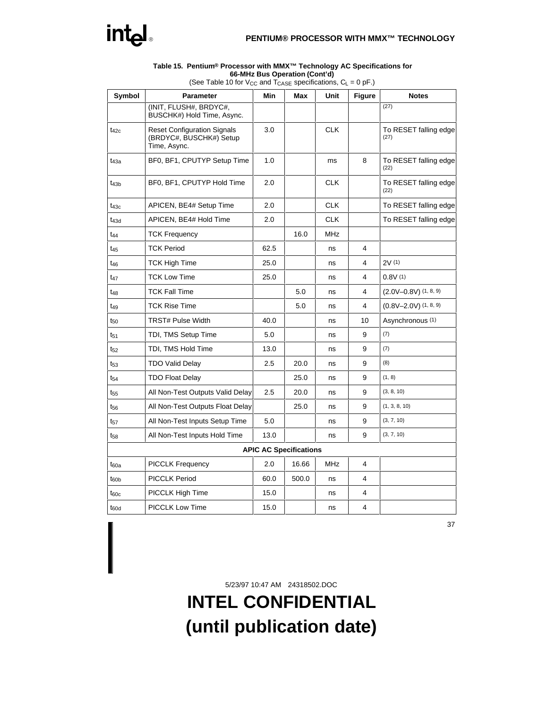

#### **Table 15. Pentium® Processor with MMX™ Technology AC Specifications for 66-MHz Bus Operation (Cont'd)**

| Symbol           | Parameter                                                                     | Min                           | Max   | Unit       | <b>Figure</b>           | <b>Notes</b>                  |
|------------------|-------------------------------------------------------------------------------|-------------------------------|-------|------------|-------------------------|-------------------------------|
|                  | (INIT, FLUSH#, BRDYC#,<br>BUSCHK#) Hold Time, Async.                          |                               |       |            |                         | (27)                          |
| $t_{42c}$        | <b>Reset Configuration Signals</b><br>(BRDYC#, BUSCHK#) Setup<br>Time, Async. | 3.0                           |       | <b>CLK</b> |                         | To RESET falling edge<br>(27) |
| t43a             | BF0, BF1, CPUTYP Setup Time                                                   | 1.0                           |       | ms         | 8                       | To RESET falling edge<br>(22) |
| $t_{43b}$        | BF0, BF1, CPUTYP Hold Time                                                    | 2.0                           |       | <b>CLK</b> |                         | To RESET falling edge<br>(22) |
| $t_{43c}$        | APICEN, BE4# Setup Time                                                       | 2.0                           |       | <b>CLK</b> |                         | To RESET falling edge         |
| t <sub>43d</sub> | APICEN, BE4# Hold Time                                                        | 2.0                           |       | <b>CLK</b> |                         | To RESET falling edge         |
| $t_{44}$         | <b>TCK Frequency</b>                                                          |                               | 16.0  | <b>MHz</b> |                         |                               |
| $t_{45}$         | <b>TCK Period</b>                                                             | 62.5                          |       | ns         | 4                       |                               |
| t <sub>46</sub>  | TCK High Time                                                                 | 25.0                          |       | ns         | 4                       | 2V(1)                         |
| t <sub>47</sub>  | <b>TCK Low Time</b>                                                           | 25.0                          |       | ns         | 4                       | 0.8V(1)                       |
| t <sub>48</sub>  | <b>TCK Fall Time</b>                                                          |                               | 5.0   | ns         | 4                       | $(2.0V - 0.8V)$ $(1, 8, 9)$   |
| t <sub>49</sub>  | <b>TCK Rise Time</b>                                                          |                               | 5.0   | ns         | 4                       | $(0.8V - 2.0V)$ $(1, 8, 9)$   |
| $t_{50}$         | <b>TRST# Pulse Width</b>                                                      | 40.0                          |       | ns         | 10                      | Asynchronous (1)              |
| $t_{51}$         | TDI, TMS Setup Time                                                           | 5.0                           |       | ns         | 9                       | (7)                           |
| $t_{52}$         | TDI, TMS Hold Time                                                            | 13.0                          |       | ns         | 9                       | (7)                           |
| $t_{53}$         | <b>TDO Valid Delay</b>                                                        | 2.5                           | 20.0  | ns         | 9                       | (8)                           |
| t <sub>54</sub>  | <b>TDO Float Delay</b>                                                        |                               | 25.0  | ns         | 9                       | (1, 8)                        |
| t <sub>55</sub>  | All Non-Test Outputs Valid Delay                                              | 2.5                           | 20.0  | ns         | 9                       | (3, 8, 10)                    |
| t <sub>56</sub>  | All Non-Test Outputs Float Delay                                              |                               | 25.0  | ns         | 9                       | (1, 3, 8, 10)                 |
| t <sub>57</sub>  | All Non-Test Inputs Setup Time                                                | 5.0                           |       | ns         | 9                       | (3, 7, 10)                    |
| t <sub>58</sub>  | All Non-Test Inputs Hold Time                                                 | 13.0                          |       | ns         | 9                       | (3, 7, 10)                    |
|                  |                                                                               | <b>APIC AC Specifications</b> |       |            |                         |                               |
| $t_{60a}$        | <b>PICCLK Frequency</b>                                                       | 2.0                           | 16.66 | <b>MHz</b> | $\overline{\mathbf{4}}$ |                               |
| $t_{60b}$        | <b>PICCLK Period</b>                                                          | 60.0                          | 500.0 | ns         | 4                       |                               |
| $t_{60c}$        | PICCLK High Time                                                              | 15.0                          |       | ns         | 4                       |                               |
| $t_{60d}$        | PICCLK Low Time                                                               | 15.0                          |       | ns         | 4                       |                               |

(See Table 10 for V<sub>CC</sub> and  $T_{\text{CASE}}$  specifications,  $C_L = 0$  pF.)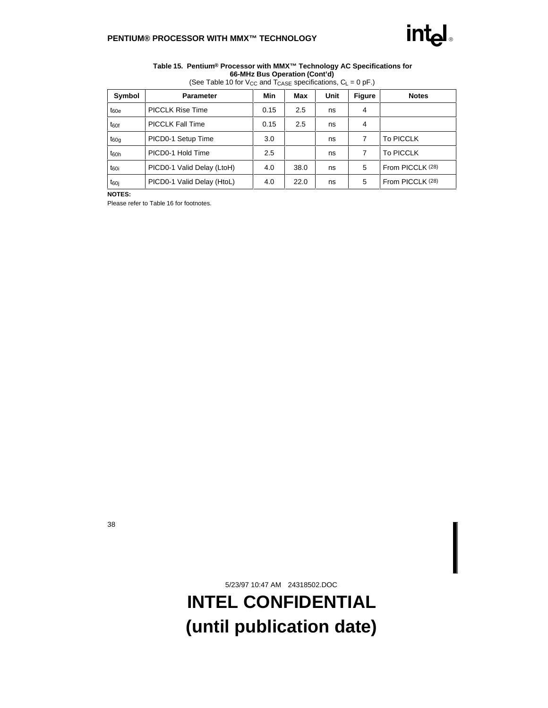

#### **Table 15. Pentium® Processor with MMX™ Technology AC Specifications for 66-MHz Bus Operation (Cont'd)**

| Symbol           | <b>Parameter</b>           | Min            | Max  | Unit | <b>Figure</b>    | <b>Notes</b>     |
|------------------|----------------------------|----------------|------|------|------------------|------------------|
| $t_{60e}$        | <b>PICCLK Rise Time</b>    | 0.15           | 2.5  | ns   | 4                |                  |
| $t_{60f}$        | <b>PICCLK Fall Time</b>    | 0.15           | 2.5  | ns   | 4                |                  |
| $t_{60g}$        | PICD0-1 Setup Time         | 3.0<br>7<br>ns |      |      | <b>To PICCLK</b> |                  |
| $t_{60h}$        | PICD0-1 Hold Time          | 2.5            |      | ns   | 7                | <b>To PICCLK</b> |
| t <sub>60i</sub> | PICD0-1 Valid Delay (LtoH) | 4.0            | 38.0 | ns   | 5                | From PICCLK (28) |
| t <sub>60i</sub> | PICD0-1 Valid Delay (HtoL) | 4.0            | 22.0 | ns   | 5                | From PICCLK (28) |

(See Table 10 for V<sub>CC</sub> and  $T_{\text{CASE}}$  specifications,  $C_L = 0$  pF.)

**NOTES:**

Please refer to Table 16 for footnotes.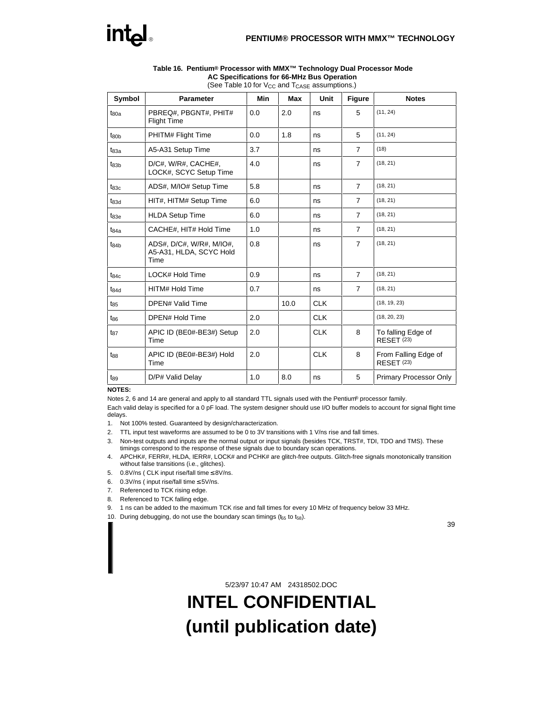

| Symbol           | <b>Parameter</b>                                            | <b>Min</b> | Max  | <b>Unit</b> | <b>Figure</b>  | <b>Notes</b>                              |  |
|------------------|-------------------------------------------------------------|------------|------|-------------|----------------|-------------------------------------------|--|
| $t_{80a}$        | PBREQ#, PBGNT#, PHIT#<br><b>Flight Time</b>                 | 0.0        | 2.0  | ns          | 5              | (11, 24)                                  |  |
| t <sub>80b</sub> | PHITM# Flight Time                                          | 0.0        | 1.8  | ns          | 5              | (11, 24)                                  |  |
| $t_{83a}$        | A5-A31 Setup Time                                           | 3.7        |      | ns          | $\overline{7}$ | (18)                                      |  |
| $t_{83b}$        | D/C#, W/R#, CACHE#,<br>LOCK#, SCYC Setup Time               | 4.0        |      | ns          | $\overline{7}$ | (18, 21)                                  |  |
| $t_{83c}$        | ADS#, M/IO# Setup Time                                      | 5.8        |      | ns          | $\overline{7}$ | (18, 21)                                  |  |
| $t_{83d}$        | HIT#, HITM# Setup Time                                      | 6.0        |      | ns          | $\overline{7}$ | (18, 21)                                  |  |
| $t_{83e}$        | <b>HLDA Setup Time</b>                                      | 6.0        |      | ns          | $\overline{7}$ | (18, 21)                                  |  |
| $t_{84a}$        | CACHE#, HIT# Hold Time                                      | 1.0        |      | ns          | $\overline{7}$ | (18, 21)                                  |  |
| $t_{84b}$        | ADS#, D/C#, W/R#, M/IO#,<br>A5-A31, HLDA, SCYC Hold<br>Time | 0.8        |      | ns          | $\overline{7}$ | (18, 21)                                  |  |
| $t_{84c}$        | LOCK# Hold Time                                             | 0.9        |      | ns          | $\overline{7}$ | (18, 21)                                  |  |
| $t_{84d}$        | HITM# Hold Time                                             | 0.7        |      | ns          | $\overline{7}$ | (18, 21)                                  |  |
| $t_{85}$         | <b>DPEN# Valid Time</b>                                     |            | 10.0 | <b>CLK</b>  |                | (18, 19, 23)                              |  |
| t <sub>86</sub>  | DPEN# Hold Time                                             | 2.0        |      | <b>CLK</b>  |                | (18, 20, 23)                              |  |
| $t_{87}$         | APIC ID (BE0#-BE3#) Setup<br>Time                           | 2.0        |      | <b>CLK</b>  | 8              | To falling Edge of<br><b>RESET (23)</b>   |  |
| t <sub>88</sub>  | APIC ID (BE0#-BE3#) Hold<br>Time                            | 2.0        |      | <b>CLK</b>  | 8              | From Falling Edge of<br><b>RESET (23)</b> |  |
| t <sub>89</sub>  | D/P# Valid Delay                                            | 1.0        | 8.0  | ns          | 5              | <b>Primary Processor Only</b>             |  |

#### **Table 16. Pentium® Processor with MMX™ Technology Dual Processor Mode AC Specifications for 66-MHz Bus Operation** (See Table 10 for  $V_{CC}$  and  $T_{CASE}$  assumptions.)

#### **NOTES:**

Notes 2, 6 and 14 are general and apply to all standard TTL signals used with the Pentium® processor family.

Each valid delay is specified for a 0 pF load. The system designer should use I/O buffer models to account for signal flight time delays.

- 1. Not 100% tested. Guaranteed by design/characterization.
- 2. TTL input test waveforms are assumed to be 0 to 3V transitions with 1 V/ns rise and fall times.
- 3. Non-test outputs and inputs are the normal output or input signals (besides TCK, TRST#, TDI, TDO and TMS). These timings correspond to the response of these signals due to boundary scan operations.
- 4. APCHK#, FERR#, HLDA, IERR#, LOCK# and PCHK# are glitch-free outputs. Glitch-free signals monotonically transition without false transitions (i.e., glitches).
- 5. 0.8V/ns ( CLK input rise/fall time ≤ 8V/ns.
- 6. 0.3V/ns ( input rise/fall time ≤ 5V/ns.
- 7. Referenced to TCK rising edge.
- 8. Referenced to TCK falling edge.
- 9. 1 ns can be added to the maximum TCK rise and fall times for every 10 MHz of frequency below 33 MHz.
- 10. During debugging, do not use the boundary scan timings ( $t_{55}$  to  $t_{58}$ ).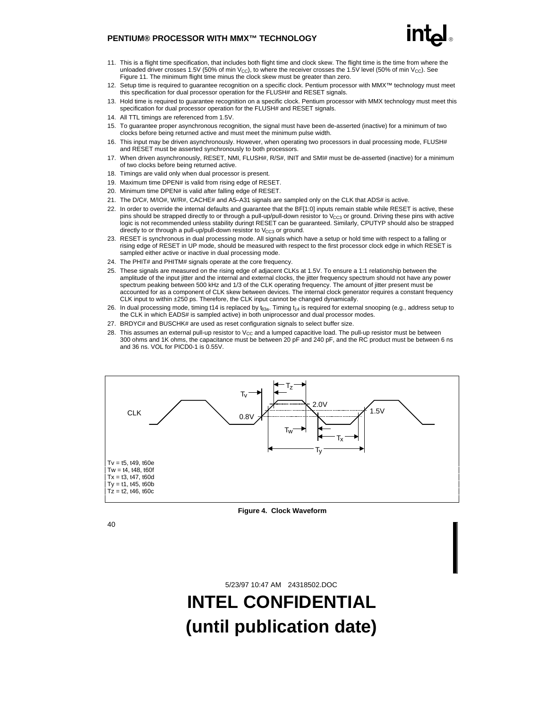- 
- 11. This is a flight time specification, that includes both flight time and clock skew. The flight time is the time from where the unloaded driver crosses 1.5V (50% of min  $V_{\text{CC}}$ ), to where the receiver crosses the 1.5V level (50% of min  $V_{\text{CC}}$ ). See Figure 11. The minimum flight time minus the clock skew must be greater than zero.
- 12. Setup time is required to guarantee recognition on a specific clock. Pentium processor with MMX™ technology must meet this specification for dual processor operation for the FLUSH# and RESET signals.
- 13. Hold time is required to guarantee recognition on a specific clock. Pentium processor with MMX technology must meet this specification for dual processor operation for the FLUSH# and RESET signals.
- 14. All TTL timings are referenced from 1.5V.
- 15. To guarantee proper asynchronous recognition, the signal must have been de-asserted (inactive) for a minimum of two clocks before being returned active and must meet the minimum pulse width.
- 16. This input may be driven asynchronously. However, when operating two processors in dual processing mode, FLUSH# and RESET must be asserted synchronously to both processors.
- 17. When driven asynchronously, RESET, NMI, FLUSH#, R/S#, INIT and SMI# must be de-asserted (inactive) for a minimum of two clocks before being returned active.
- 18. Timings are valid only when dual processor is present.
- 19. Maximum time DPEN# is valid from rising edge of RESET.
- 20. Minimum time DPEN# is valid after falling edge of RESET.
- 21. The D/C#, M/IO#, W/R#, CACHE# and A5-A31 signals are sampled only on the CLK that ADS# is active.
- 22. In order to override the internal defaults and guarantee that the BF[1:0] inputs remain stable while RESET is active, these pins should be strapped directly to or through a pull-up/pull-down resistor to  $V_{CG}$  or ground. Driving these pins with active logic is not recommended unless stability duringt RESET can be guaranteed. Similarly, CPUTYP should also be strapped directly to or through a pull-up/pull-down resistor to  $V_{CC3}$  or ground.
- 23. RESET is synchronous in dual processing mode. All signals which have a setup or hold time with respect to a falling or rising edge of RESET in UP mode, should be measured with respect to the first processor clock edge in which RESET is sampled either active or inactive in dual processing mode.
- 24. The PHIT# and PHITM# signals operate at the core frequency.
- 25. These signals are measured on the rising edge of adjacent CLKs at 1.5V. To ensure a 1:1 relationship between the amplitude of the input jitter and the internal and external clocks, the jitter frequency spectrum should not have any power spectrum peaking between 500 kHz and 1/3 of the CLK operating frequency. The amount of jitter present must be accounted for as a component of CLK skew between devices. The internal clock generator requires a constant frequency CLK input to within ±250 ps. Therefore, the CLK input cannot be changed dynamically.
- 26. In dual processing mode, timing t14 is replaced by  $t_{83a}$ . Timing  $t_{14}$  is required for external snooping (e.g., address setup to the CLK in which EADS# is sampled active) in both uniprocessor and dual processor modes.
- 27. BRDYC# and BUSCHK# are used as reset configuration signals to select buffer size.
- 28. This assumes an external pull-up resistor to  $V_{CC}$  and a lumped capacitive load. The pull-up resistor must be between 300 ohms and 1K ohms, the capacitance must be between 20 pF and 240 pF, and the RC product must be between 6 ns and 36 ns. VOL for PICD0-1 is 0.55V.



**Figure 4. Clock Waveform**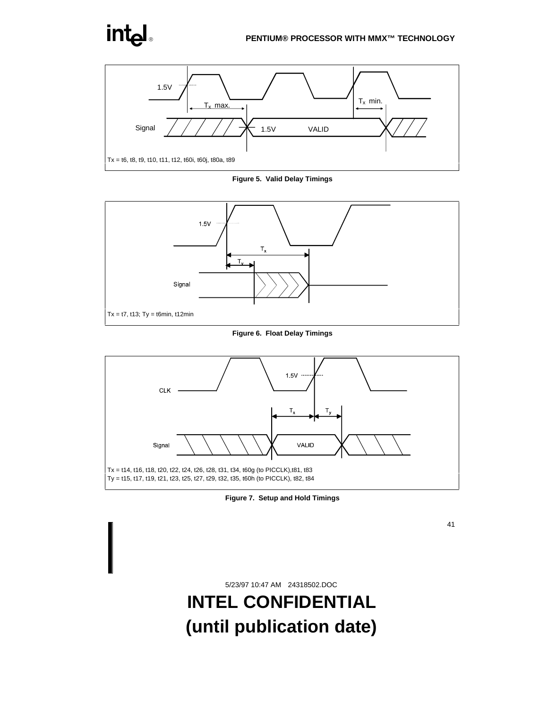

**Figure 5. Valid Delay Timings**



**Figure 6. Float Delay Timings**



**Figure 7. Setup and Hold Timings**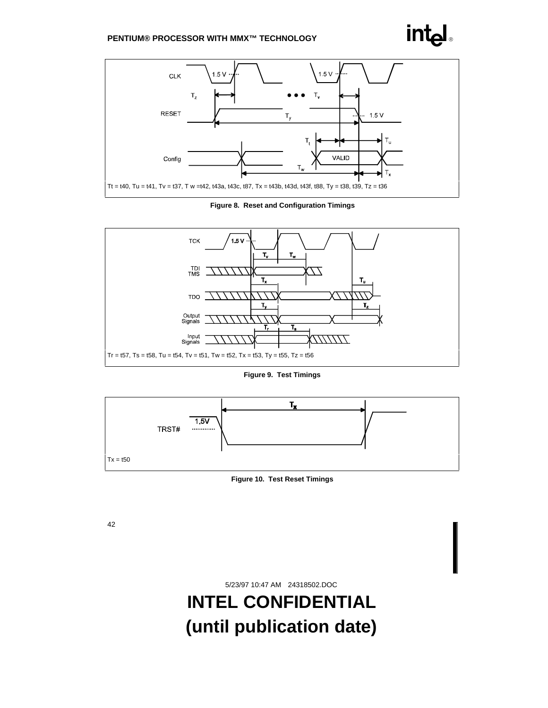

**Figure 8. Reset and Configuration Timings**



**Figure 9. Test Timings**



**Figure 10. Test Reset Timings**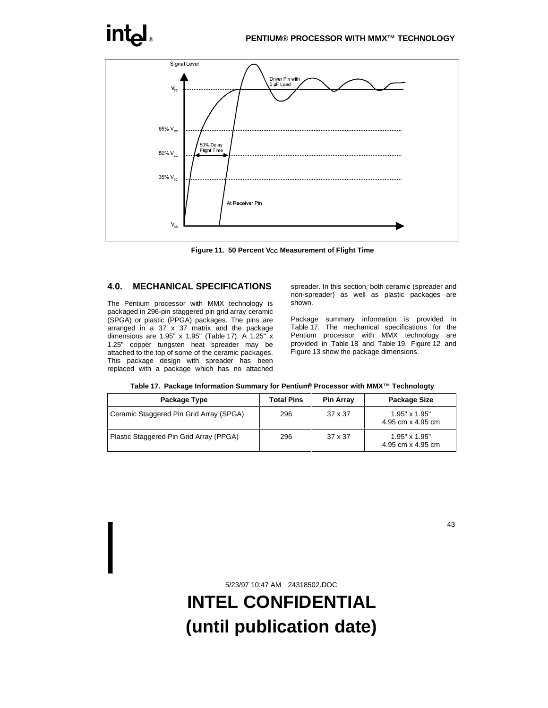

Figure 11. 50 Percent V<sub>CC</sub> Measurement of Flight Time

## **4.0. MECHANICAL SPECIFICATIONS**

The Pentium processor with MMX technology is packaged in 296-pin staggered pin grid array ceramic (SPGA) or plastic (PPGA) packages. The pins are arranged in a  $37 \times 37$  matrix and the package dimensions are 1.95" x 1.95" (Table 17). A 1.25" x 1.25" copper tungsten heat spreader may be attached to the top of some of the ceramic packages. This package design with spreader has been replaced with a package which has no attached spreader. In this section, both ceramic (spreader and non-spreader) as well as plastic packages are shown.

Package summary information is provided in Table 17. The mechanical specifications for the Pentium processor with MMX technology are provided in Table 18 and Table 19. Figure 12 and Figure 13 show the package dimensions.

|  | Table 17. Package Information Summary for Pentium® Processor with MMX™ Technologty |  |  |  |
|--|------------------------------------------------------------------------------------|--|--|--|
|--|------------------------------------------------------------------------------------|--|--|--|

| Package Type                            | <b>Total Pins</b> | <b>Pin Array</b> | Package Size                              |
|-----------------------------------------|-------------------|------------------|-------------------------------------------|
| Ceramic Staggered Pin Grid Array (SPGA) | 296               | $37 \times 37$   | $1.95" \times 1.95"$<br>4.95 cm x 4.95 cm |
| Plastic Staggered Pin Grid Array (PPGA) | 296               | $37 \times 37$   | 1.95" x 1.95"<br>4.95 cm x 4.95 cm        |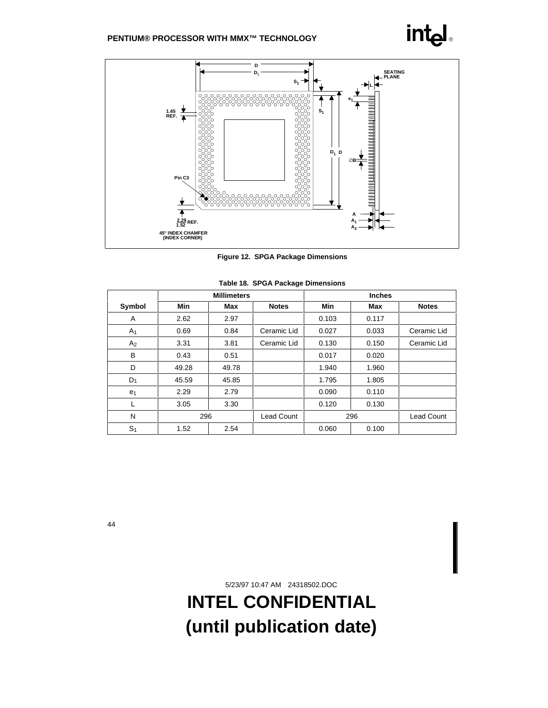

**Figure 12. SPGA Package Dimensions**

|                | <b>Millimeters</b> |       |                   | <b>Inches</b> |       |                   |
|----------------|--------------------|-------|-------------------|---------------|-------|-------------------|
| Symbol         | Min                | Max   | <b>Notes</b>      | <b>Min</b>    | Max   | <b>Notes</b>      |
| A              | 2.62               | 2.97  |                   | 0.103         | 0.117 |                   |
| A <sub>1</sub> | 0.69               | 0.84  | Ceramic Lid       | 0.027         | 0.033 | Ceramic Lid       |
| A <sub>2</sub> | 3.31               | 3.81  | Ceramic Lid       | 0.130         | 0.150 | Ceramic Lid       |
| B              | 0.43               | 0.51  |                   | 0.017         | 0.020 |                   |
| D              | 49.28              | 49.78 |                   | 1.940         | 1.960 |                   |
| $D_1$          | 45.59              | 45.85 |                   | 1.795         | 1.805 |                   |
| e <sub>1</sub> | 2.29               | 2.79  |                   | 0.090         | 0.110 |                   |
| L              | 3.05               | 3.30  |                   | 0.120         | 0.130 |                   |
| N              | 296                |       | <b>Lead Count</b> |               | 296   | <b>Lead Count</b> |
| S <sub>1</sub> | 1.52               | 2.54  |                   | 0.060         | 0.100 |                   |

|  |  |  | Table 18. SPGA Package Dimensions |
|--|--|--|-----------------------------------|
|--|--|--|-----------------------------------|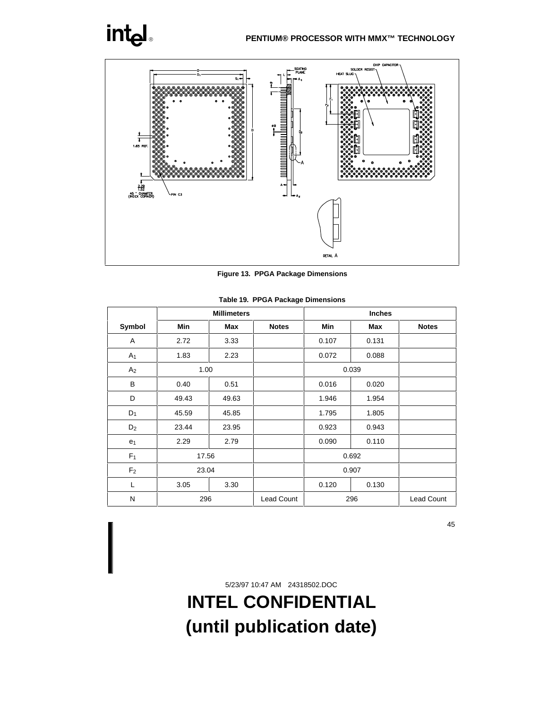

**Figure 13. PPGA Package Dimensions**

|                | <b>Millimeters</b> |       |                   | <b>Inches</b> |       |                   |  |
|----------------|--------------------|-------|-------------------|---------------|-------|-------------------|--|
| Symbol         | <b>Min</b>         | Max   | <b>Notes</b>      | Min           | Max   | <b>Notes</b>      |  |
| A              | 2.72               | 3.33  |                   | 0.107         | 0.131 |                   |  |
| A <sub>1</sub> | 1.83               | 2.23  |                   | 0.072         | 0.088 |                   |  |
| A <sub>2</sub> | 1.00               |       |                   | 0.039         |       |                   |  |
| B              | 0.40               | 0.51  |                   | 0.016         | 0.020 |                   |  |
| D              | 49.43              | 49.63 |                   | 1.946         | 1.954 |                   |  |
| $D_1$          | 45.59              | 45.85 |                   | 1.795         | 1.805 |                   |  |
| D <sub>2</sub> | 23.44              | 23.95 |                   | 0.923         | 0.943 |                   |  |
| e <sub>1</sub> | 2.29               | 2.79  |                   | 0.090         | 0.110 |                   |  |
| F <sub>1</sub> | 17.56              |       |                   | 0.692         |       |                   |  |
| F <sub>2</sub> | 23.04              |       |                   | 0.907         |       |                   |  |
| L              | 3.05               | 3.30  |                   | 0.120         | 0.130 |                   |  |
| N              | 296                |       | <b>Lead Count</b> | 296           |       | <b>Lead Count</b> |  |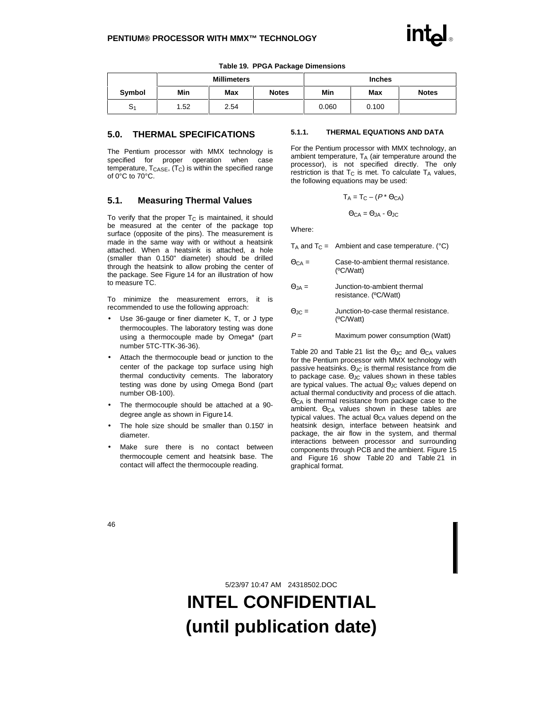|                | <b>Millimeters</b> |      |              | <b>Inches</b> |       |              |
|----------------|--------------------|------|--------------|---------------|-------|--------------|
| Symbol         | Min                | Max  | <b>Notes</b> | Min           | Max   | <b>Notes</b> |
| S <sub>1</sub> | 1.52               | 2.54 |              | 0.060         | 0.100 |              |

#### **Table 19. PPGA Package Dimensions**

### **5.0. THERMAL SPECIFICATIONS**

The Pentium processor with MMX technology is specified for proper operation when case temperature,  $T_{\text{CASE}}$ ,  $(T_{\text{C}})$  is within the specified range of 0°C to 70°C.

### **5.1. Measuring Thermal Values**

To verify that the proper  $T<sub>C</sub>$  is maintained, it should be measured at the center of the package top surface (opposite of the pins). The measurement is made in the same way with or without a heatsink attached. When a heatsink is attached, a hole (smaller than 0.150" diameter) should be drilled through the heatsink to allow probing the center of the package. See Figure 14 for an illustration of how to measure TC.

To minimize the measurement errors, it is recommended to use the following approach:

- Use 36-gauge or finer diameter K, T, or J type thermocouples. The laboratory testing was done using a thermocouple made by Omega\* (part number 5TC-TTK-36-36).
- Attach the thermocouple bead or junction to the center of the package top surface using high thermal conductivity cements. The laboratory testing was done by using Omega Bond (part number OB-100).
- The thermocouple should be attached at a 90 degree angle as shown in Figure 14.
- The hole size should be smaller than 0.150' in diameter.
- Make sure there is no contact between thermocouple cement and heatsink base. The contact will affect the thermocouple reading.

#### **5.1.1. THERMAL EQUATIONS AND DATA**

For the Pentium processor with MMX technology, an ambient temperature,  $T_A$  (air temperature around the processor), is not specified directly. The only restriction is that  $T<sub>C</sub>$  is met. To calculate  $T<sub>A</sub>$  values, the following equations may be used:

$$
T_A = T_C - (P^* \Theta_{CA})
$$

$$
\Theta_{CA} = \Theta_{JA} - \Theta_{JC}
$$

Where:

|               | $T_A$ and $T_C$ = Ambient and case temperature. (°C)         |
|---------------|--------------------------------------------------------------|
| $\Theta$ CA = | Case-to-ambient thermal resistance.<br>(C/W <sub>att</sub> ) |

- $\Theta_{JA}$  = Junction-to-ambient thermal resistance. (ºC/Watt)
- ΘJC = Junction-to-case thermal resistance. (ºC/Watt)
- $P =$  Maximum power consumption (Watt)

Table 20 and Table 21 list the  $\Theta$ <sub>JC</sub> and  $\Theta_{CA}$  values for the Pentium processor with MMX technology with passive heatsinks. ΘJC is thermal resistance from die to package case.  $\Theta$ <sub>JC</sub> values shown in these tables are typical values. The actual Θ<sub>JC</sub> values depend on actual thermal conductivity and process of die attach. ΘCA is thermal resistance from package case to the ambient. ΘCA values shown in these tables are typical values. The actual Θ<sub>CA</sub> values depend on the heatsink design, interface between heatsink and package, the air flow in the system, and thermal interactions between processor and surrounding components through PCB and the ambient. Figure 15 and Figure 16 show Table 20 and Table 21 in graphical format.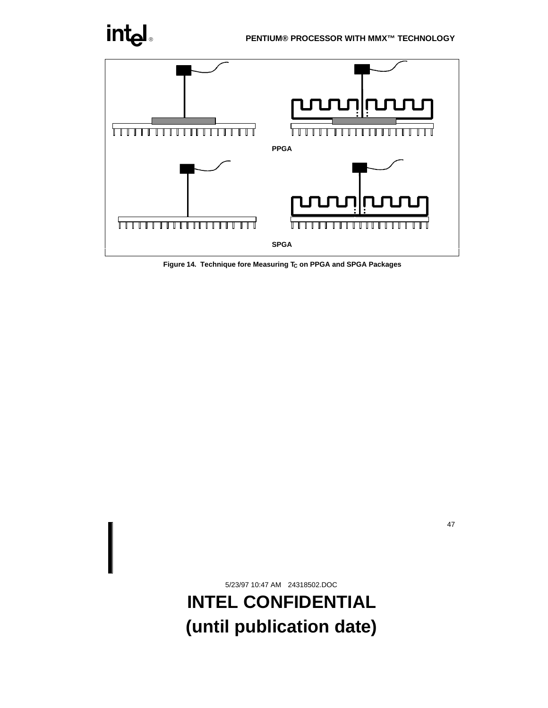

Figure 14. Technique fore Measuring T<sub>C</sub> on PPGA and SPGA Packages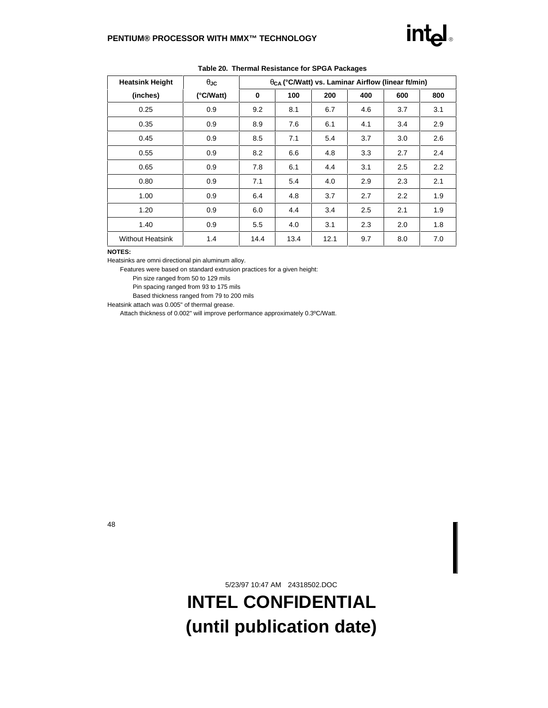| <b>Heatsink Height</b>  | $\theta$ JC | θς (°C/Watt) vs. Laminar Airflow (linear ft/min) |      |      |     |     |     |
|-------------------------|-------------|--------------------------------------------------|------|------|-----|-----|-----|
| (inches)                | (°C/Watt)   | 0                                                | 100  | 200  | 400 | 600 | 800 |
| 0.25                    | 0.9         | 9.2                                              | 8.1  | 6.7  | 4.6 | 3.7 | 3.1 |
| 0.35                    | 0.9         | 8.9                                              | 7.6  | 6.1  | 4.1 | 3.4 | 2.9 |
| 0.45                    | 0.9         | 8.5                                              | 7.1  | 5.4  | 3.7 | 3.0 | 2.6 |
| 0.55                    | 0.9         | 8.2                                              | 6.6  | 4.8  | 3.3 | 2.7 | 2.4 |
| 0.65                    | 0.9         | 7.8                                              | 6.1  | 4.4  | 3.1 | 2.5 | 2.2 |
| 0.80                    | 0.9         | 7.1                                              | 5.4  | 4.0  | 2.9 | 2.3 | 2.1 |
| 1.00                    | 0.9         | 6.4                                              | 4.8  | 3.7  | 2.7 | 2.2 | 1.9 |
| 1.20                    | 0.9         | 6.0                                              | 4.4  | 3.4  | 2.5 | 2.1 | 1.9 |
| 1.40                    | 0.9         | 5.5                                              | 4.0  | 3.1  | 2.3 | 2.0 | 1.8 |
| <b>Without Heatsink</b> | 1.4         | 14.4                                             | 13.4 | 12.1 | 9.7 | 8.0 | 7.0 |

**Table 20. Thermal Resistance for SPGA Packages**

#### **NOTES:**

Heatsinks are omni directional pin aluminum alloy.

Features were based on standard extrusion practices for a given height:

Pin size ranged from 50 to 129 mils

Pin spacing ranged from 93 to 175 mils

Based thickness ranged from 79 to 200 mils

Heatsink attach was 0.005" of thermal grease.

Attach thickness of 0.002" will improve performance approximately 0.3ºC/Watt.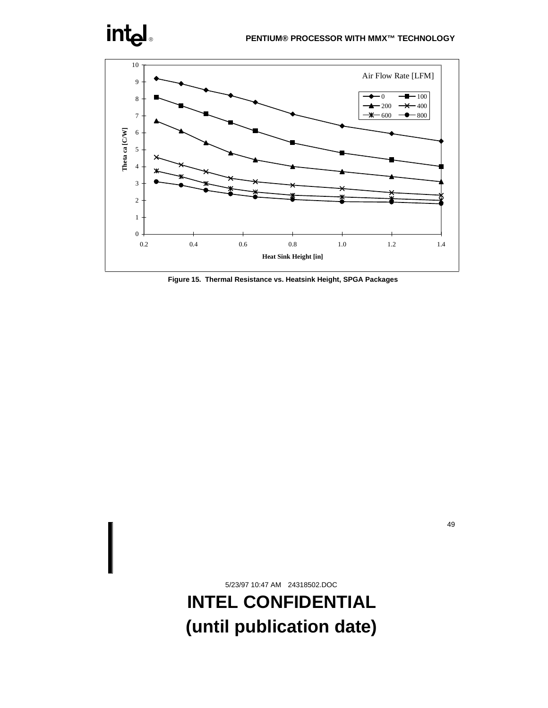

**Figure 15. Thermal Resistance vs. Heatsink Height, SPGA Packages**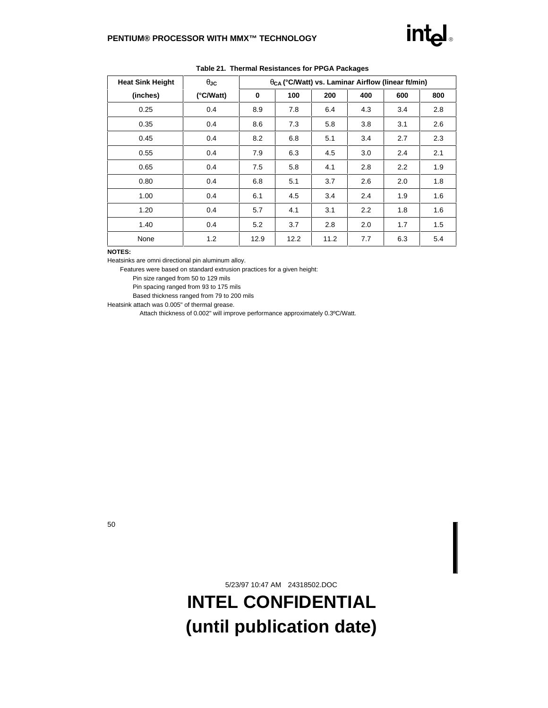| <b>Heat Sink Height</b> | $\theta$ JC | θς (°C/Watt) vs. Laminar Airflow (linear ft/min) |      |      |     |     |     |
|-------------------------|-------------|--------------------------------------------------|------|------|-----|-----|-----|
| (inches)                | (°C/Watt)   | 0                                                | 100  | 200  | 400 | 600 | 800 |
| 0.25                    | 0.4         | 8.9                                              | 7.8  | 6.4  | 4.3 | 3.4 | 2.8 |
| 0.35                    | 0.4         | 8.6                                              | 7.3  | 5.8  | 3.8 | 3.1 | 2.6 |
| 0.45                    | 0.4         | 8.2                                              | 6.8  | 5.1  | 3.4 | 2.7 | 2.3 |
| 0.55                    | 0.4         | 7.9                                              | 6.3  | 4.5  | 3.0 | 2.4 | 2.1 |
| 0.65                    | 0.4         | 7.5                                              | 5.8  | 4.1  | 2.8 | 2.2 | 1.9 |
| 0.80                    | 0.4         | 6.8                                              | 5.1  | 3.7  | 2.6 | 2.0 | 1.8 |
| 1.00                    | 0.4         | 6.1                                              | 4.5  | 3.4  | 2.4 | 1.9 | 1.6 |
| 1.20                    | 0.4         | 5.7                                              | 4.1  | 3.1  | 2.2 | 1.8 | 1.6 |
| 1.40                    | 0.4         | 5.2                                              | 3.7  | 2.8  | 2.0 | 1.7 | 1.5 |
| None                    | 1.2         | 12.9                                             | 12.2 | 11.2 | 7.7 | 6.3 | 5.4 |

**Table 21. Thermal Resistances for PPGA Packages**

#### **NOTES:**

Heatsinks are omni directional pin aluminum alloy.

Features were based on standard extrusion practices for a given height:

Pin size ranged from 50 to 129 mils

Pin spacing ranged from 93 to 175 mils

Based thickness ranged from 79 to 200 mils

Heatsink attach was 0.005" of thermal grease.

Attach thickness of 0.002" will improve performance approximately 0.3ºC/Watt.